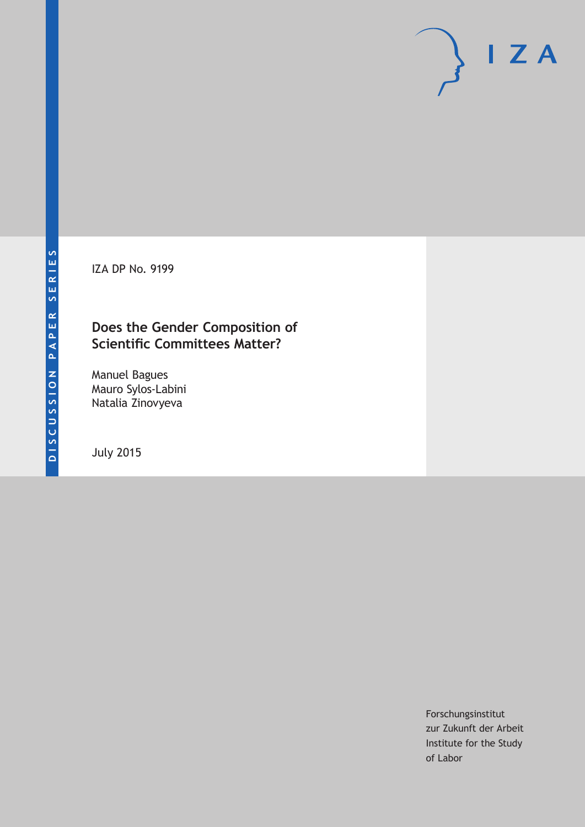IZA DP No. 9199

# **Does the Gender Composition of Scientific Committees Matter?**

Manuel Bagues Mauro Sylos-Labini Natalia Zinovyeva

July 2015

Forschungsinstitut zur Zukunft der Arbeit Institute for the Study of Labor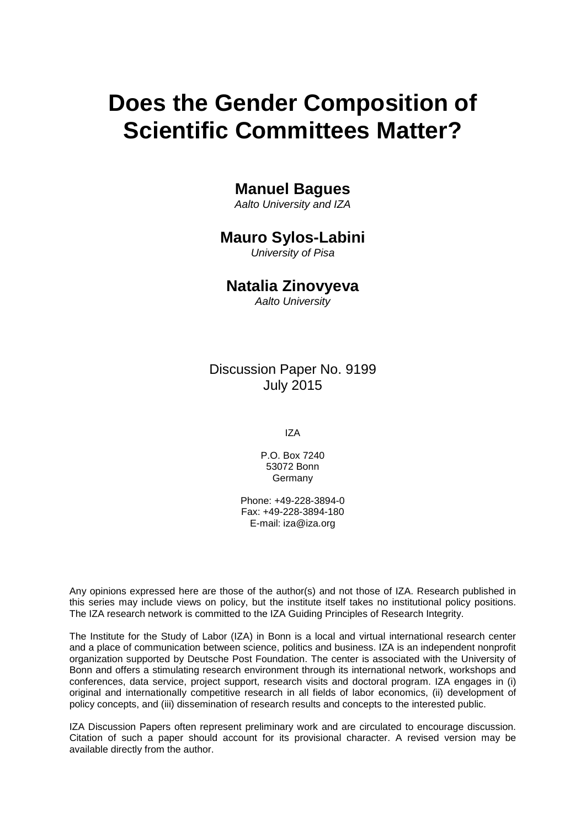# **Does the Gender Composition of Scientific Committees Matter?**

## **Manuel Bagues**

*Aalto University and IZA*

## **Mauro Sylos-Labini**

*University of Pisa*

## **Natalia Zinovyeva**

*Aalto University*

## Discussion Paper No. 9199 July 2015

IZA

P.O. Box 7240 53072 Bonn **Germany** 

Phone: +49-228-3894-0 Fax: +49-228-3894-180 E-mail: iza@iza.org

Any opinions expressed here are those of the author(s) and not those of IZA. Research published in this series may include views on policy, but the institute itself takes no institutional policy positions. The IZA research network is committed to the IZA Guiding Principles of Research Integrity.

The Institute for the Study of Labor (IZA) in Bonn is a local and virtual international research center and a place of communication between science, politics and business. IZA is an independent nonprofit organization supported by Deutsche Post Foundation. The center is associated with the University of Bonn and offers a stimulating research environment through its international network, workshops and conferences, data service, project support, research visits and doctoral program. IZA engages in (i) original and internationally competitive research in all fields of labor economics, (ii) development of policy concepts, and (iii) dissemination of research results and concepts to the interested public.

<span id="page-1-0"></span>IZA Discussion Papers often represent preliminary work and are circulated to encourage discussion. Citation of such a paper should account for its provisional character. A revised version may be available directly from the author.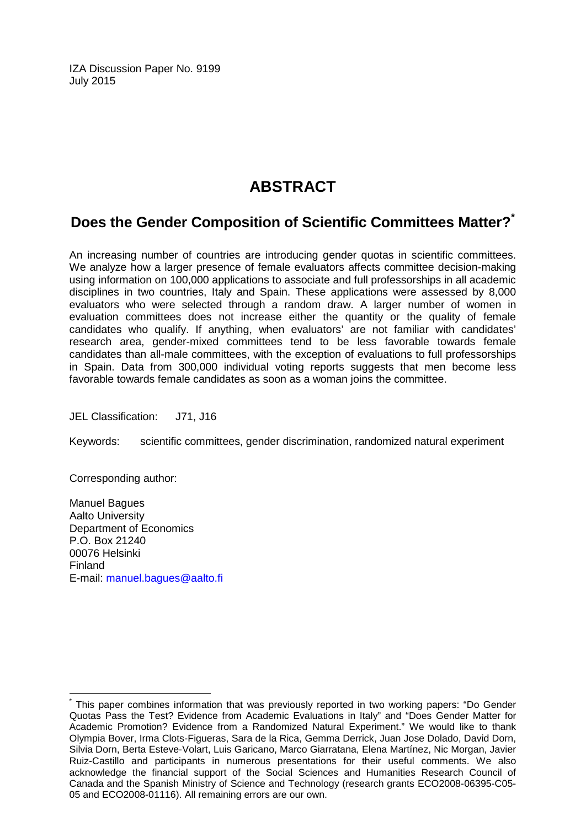IZA Discussion Paper No. 9199 July 2015

# **ABSTRACT**

# **Does the Gender Composition of Scientific Committees Matter?[\\*](#page-1-0)**

An increasing number of countries are introducing gender quotas in scientific committees. We analyze how a larger presence of female evaluators affects committee decision-making using information on 100,000 applications to associate and full professorships in all academic disciplines in two countries, Italy and Spain. These applications were assessed by 8,000 evaluators who were selected through a random draw. A larger number of women in evaluation committees does not increase either the quantity or the quality of female candidates who qualify. If anything, when evaluators' are not familiar with candidates' research area, gender-mixed committees tend to be less favorable towards female candidates than all-male committees, with the exception of evaluations to full professorships in Spain. Data from 300,000 individual voting reports suggests that men become less favorable towards female candidates as soon as a woman joins the committee.

JEL Classification: J71, J16

Keywords: scientific committees, gender discrimination, randomized natural experiment

Corresponding author:

Manuel Bagues Aalto University Department of Economics P.O. Box 21240 00076 Helsinki Finland E-mail: [manuel.bagues@aalto.fi](mailto:manuel.bagues@aalto.fi)

This paper combines information that was previously reported in two working papers: "Do Gender Quotas Pass the Test? Evidence from Academic Evaluations in Italy" and "Does Gender Matter for Academic Promotion? Evidence from a Randomized Natural Experiment." We would like to thank Olympia Bover, Irma Clots-Figueras, Sara de la Rica, Gemma Derrick, Juan Jose Dolado, David Dorn, Silvia Dorn, Berta Esteve-Volart, Luis Garicano, Marco Giarratana, Elena Martínez, Nic Morgan, Javier Ruiz-Castillo and participants in numerous presentations for their useful comments. We also acknowledge the financial support of the Social Sciences and Humanities Research Council of Canada and the Spanish Ministry of Science and Technology (research grants ECO2008-06395-C05- 05 and ECO2008-01116). All remaining errors are our own.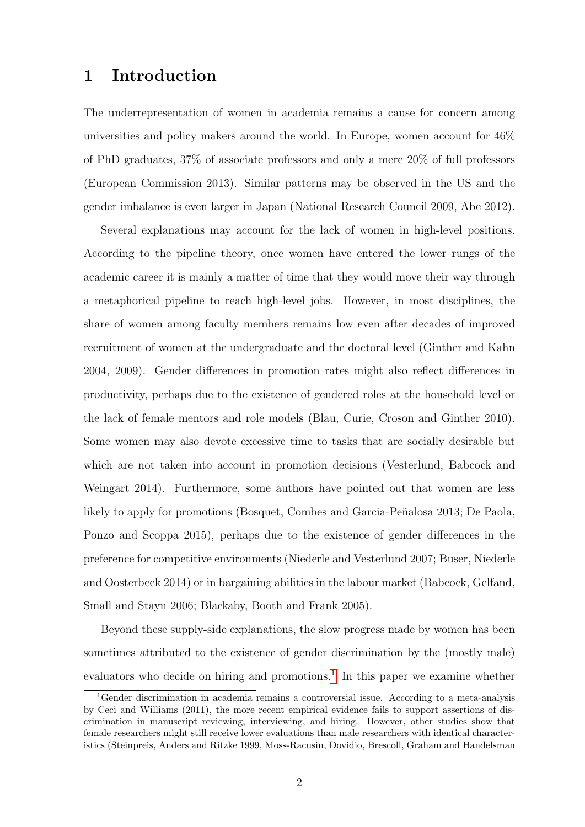# 1 Introduction

The underrepresentation of women in academia remains a cause for concern among universities and policy makers around the world. In Europe, women account for 46% of PhD graduates, 37% of associate professors and only a mere 20% of full professors (European Commission 2013). Similar patterns may be observed in the US and the gender imbalance is even larger in Japan (National Research Council 2009, Abe 2012).

Several explanations may account for the lack of women in high-level positions. According to the pipeline theory, once women have entered the lower rungs of the academic career it is mainly a matter of time that they would move their way through a metaphorical pipeline to reach high-level jobs. However, in most disciplines, the share of women among faculty members remains low even after decades of improved recruitment of women at the undergraduate and the doctoral level (Ginther and Kahn 2004, 2009). Gender differences in promotion rates might also reflect differences in productivity, perhaps due to the existence of gendered roles at the household level or the lack of female mentors and role models (Blau, Curie, Croson and Ginther 2010). Some women may also devote excessive time to tasks that are socially desirable but which are not taken into account in promotion decisions (Vesterlund, Babcock and Weingart 2014). Furthermore, some authors have pointed out that women are less likely to apply for promotions (Bosquet, Combes and Garcia-Peñalosa 2013; De Paola, Ponzo and Scoppa 2015), perhaps due to the existence of gender differences in the preference for competitive environments (Niederle and Vesterlund 2007; Buser, Niederle and Oosterbeek 2014) or in bargaining abilities in the labour market (Babcock, Gelfand, Small and Stayn 2006; Blackaby, Booth and Frank 2005).

Beyond these supply-side explanations, the slow progress made by women has been sometimes attributed to the existence of gender discrimination by the (mostly male) evaluators who decide on hiring and promotions.<sup>[1](#page-3-0)</sup> In this paper we examine whether

<span id="page-3-0"></span><sup>&</sup>lt;sup>1</sup>Gender discrimination in academia remains a controversial issue. According to a meta-analysis by Ceci and Williams (2011), the more recent empirical evidence fails to support assertions of discrimination in manuscript reviewing, interviewing, and hiring. However, other studies show that female researchers might still receive lower evaluations than male researchers with identical characteristics (Steinpreis, Anders and Ritzke 1999, Moss-Racusin, Dovidio, Brescoll, Graham and Handelsman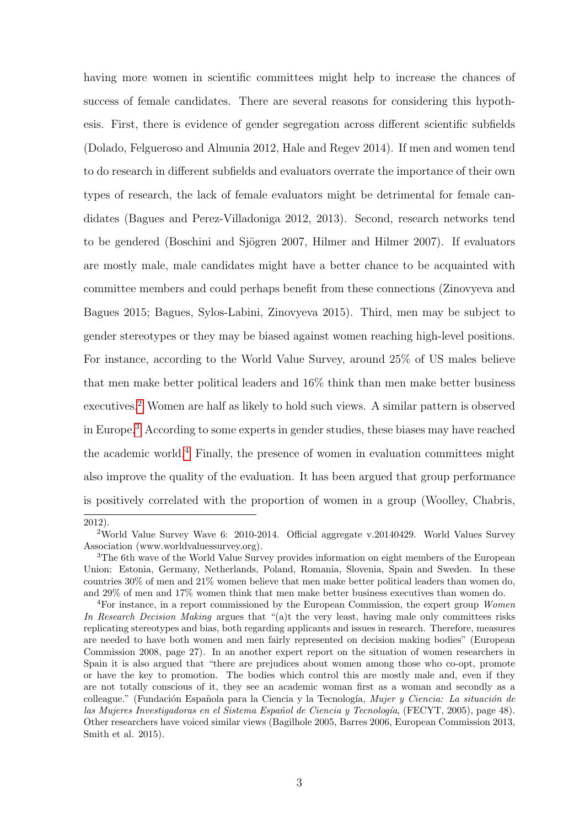having more women in scientific committees might help to increase the chances of success of female candidates. There are several reasons for considering this hypothesis. First, there is evidence of gender segregation across different scientific subfields (Dolado, Felgueroso and Almunia 2012, Hale and Regev 2014). If men and women tend to do research in different subfields and evaluators overrate the importance of their own types of research, the lack of female evaluators might be detrimental for female candidates (Bagues and Perez-Villadoniga 2012, 2013). Second, research networks tend to be gendered (Boschini and Sjögren 2007, Hilmer and Hilmer 2007). If evaluators are mostly male, male candidates might have a better chance to be acquainted with committee members and could perhaps benefit from these connections (Zinovyeva and Bagues 2015; Bagues, Sylos-Labini, Zinovyeva 2015). Third, men may be subject to gender stereotypes or they may be biased against women reaching high-level positions. For instance, according to the World Value Survey, around 25% of US males believe that men make better political leaders and 16% think than men make better business executives.[2](#page-4-0) Women are half as likely to hold such views. A similar pattern is observed in Europe.[3](#page-4-1) According to some experts in gender studies, these biases may have reached the academic world.<sup>[4](#page-4-2)</sup> Finally, the presence of women in evaluation committees might also improve the quality of the evaluation. It has been argued that group performance is positively correlated with the proportion of women in a group (Woolley, Chabris,

<sup>2012).</sup>

<span id="page-4-0"></span><sup>2</sup>World Value Survey Wave 6: 2010-2014. Official aggregate v.20140429. World Values Survey Association (www.worldvaluessurvey.org).

<span id="page-4-1"></span><sup>&</sup>lt;sup>3</sup>The 6th wave of the World Value Survey provides information on eight members of the European Union: Estonia, Germany, Netherlands, Poland, Romania, Slovenia, Spain and Sweden. In these countries 30% of men and 21% women believe that men make better political leaders than women do, and 29% of men and 17% women think that men make better business executives than women do.

<span id="page-4-2"></span><sup>4</sup>For instance, in a report commissioned by the European Commission, the expert group Women In Research Decision Making argues that "(a)t the very least, having male only committees risks replicating stereotypes and bias, both regarding applicants and issues in research. Therefore, measures are needed to have both women and men fairly represented on decision making bodies" (European Commission 2008, page 27). In an another expert report on the situation of women researchers in Spain it is also argued that "there are prejudices about women among those who co-opt, promote or have the key to promotion. The bodies which control this are mostly male and, even if they are not totally conscious of it, they see an academic woman first as a woman and secondly as a colleague." (Fundación Española para la Ciencia y la Tecnología, Mujer y Ciencia: La situación de las Mujeres Investigadoras en el Sistema Español de Ciencia y Tecnología, (FECYT, 2005), page 48). Other researchers have voiced similar views (Bagilhole 2005, Barres 2006, European Commission 2013, Smith et al. 2015).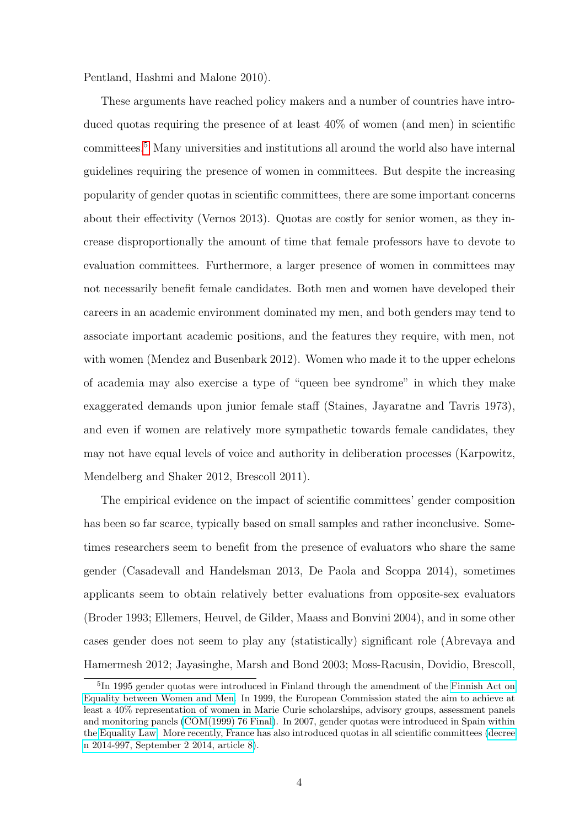Pentland, Hashmi and Malone 2010).

These arguments have reached policy makers and a number of countries have introduced quotas requiring the presence of at least 40% of women (and men) in scientific committees.[5](#page-5-0) Many universities and institutions all around the world also have internal guidelines requiring the presence of women in committees. But despite the increasing popularity of gender quotas in scientific committees, there are some important concerns about their effectivity (Vernos 2013). Quotas are costly for senior women, as they increase disproportionally the amount of time that female professors have to devote to evaluation committees. Furthermore, a larger presence of women in committees may not necessarily benefit female candidates. Both men and women have developed their careers in an academic environment dominated my men, and both genders may tend to associate important academic positions, and the features they require, with men, not with women (Mendez and Busenbark 2012). Women who made it to the upper echelons of academia may also exercise a type of "queen bee syndrome" in which they make exaggerated demands upon junior female staff (Staines, Jayaratne and Tavris 1973), and even if women are relatively more sympathetic towards female candidates, they may not have equal levels of voice and authority in deliberation processes (Karpowitz, Mendelberg and Shaker 2012, Brescoll 2011).

The empirical evidence on the impact of scientific committees' gender composition has been so far scarce, typically based on small samples and rather inconclusive. Sometimes researchers seem to benefit from the presence of evaluators who share the same gender (Casadevall and Handelsman 2013, De Paola and Scoppa 2014), sometimes applicants seem to obtain relatively better evaluations from opposite-sex evaluators (Broder 1993; Ellemers, Heuvel, de Gilder, Maass and Bonvini 2004), and in some other cases gender does not seem to play any (statistically) significant role (Abrevaya and Hamermesh 2012; Jayasinghe, Marsh and Bond 2003; Moss-Racusin, Dovidio, Brescoll,

<span id="page-5-0"></span><sup>&</sup>lt;sup>5</sup>In 1995 gender quotas were introduced in Finland through the amendment of the [Finnish Act on](http://www.refworld.org/docid/3ae6b51c0.html) [Equality between Women and Men.](http://www.refworld.org/docid/3ae6b51c0.html) In 1999, the European Commission stated the aim to achieve at least a 40% representation of women in Marie Curie scholarships, advisory groups, assessment panels and monitoring panels [\(COM\(1999\) 76 Final\)](http://ec.europa.eu/research/science-society/pdf/g_wo_co_en.pdf). In 2007, gender quotas were introduced in Spain within the [Equality Law.](http://www.boe.es/buscar/pdf/2007/BOE-A-2007-6115-consolidado.pdf) More recently, France has also introduced quotas in all scientific committees [\(decree](http://www.legifrance.gouv.fr/affichTexte.do;jsessionid=6746E0AE76EB59EE59D2E5B1E0B08D52.tpdila19v_3?cidTexte=JORFTEXT000029419294&dateTexte=20150630) [n 2014-997, September 2 2014, article 8\)](http://www.legifrance.gouv.fr/affichTexte.do;jsessionid=6746E0AE76EB59EE59D2E5B1E0B08D52.tpdila19v_3?cidTexte=JORFTEXT000029419294&dateTexte=20150630).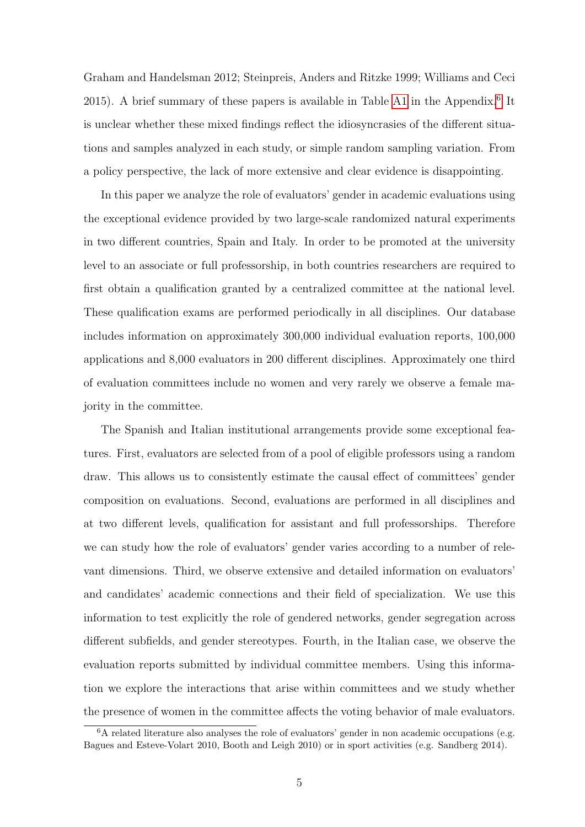Graham and Handelsman 2012; Steinpreis, Anders and Ritzke 1999; Williams and Ceci 2015). A brief summary of these papers is available in Table [A1](#page-53-0) in the Appendix.<sup>[6](#page-6-0)</sup> It is unclear whether these mixed findings reflect the idiosyncrasies of the different situations and samples analyzed in each study, or simple random sampling variation. From a policy perspective, the lack of more extensive and clear evidence is disappointing.

In this paper we analyze the role of evaluators' gender in academic evaluations using the exceptional evidence provided by two large-scale randomized natural experiments in two different countries, Spain and Italy. In order to be promoted at the university level to an associate or full professorship, in both countries researchers are required to first obtain a qualification granted by a centralized committee at the national level. These qualification exams are performed periodically in all disciplines. Our database includes information on approximately 300,000 individual evaluation reports, 100,000 applications and 8,000 evaluators in 200 different disciplines. Approximately one third of evaluation committees include no women and very rarely we observe a female majority in the committee.

The Spanish and Italian institutional arrangements provide some exceptional features. First, evaluators are selected from of a pool of eligible professors using a random draw. This allows us to consistently estimate the causal effect of committees' gender composition on evaluations. Second, evaluations are performed in all disciplines and at two different levels, qualification for assistant and full professorships. Therefore we can study how the role of evaluators' gender varies according to a number of relevant dimensions. Third, we observe extensive and detailed information on evaluators' and candidates' academic connections and their field of specialization. We use this information to test explicitly the role of gendered networks, gender segregation across different subfields, and gender stereotypes. Fourth, in the Italian case, we observe the evaluation reports submitted by individual committee members. Using this information we explore the interactions that arise within committees and we study whether the presence of women in the committee affects the voting behavior of male evaluators.

<span id="page-6-0"></span><sup>&</sup>lt;sup>6</sup>A related literature also analyses the role of evaluators' gender in non academic occupations (e.g. Bagues and Esteve-Volart 2010, Booth and Leigh 2010) or in sport activities (e.g. Sandberg 2014).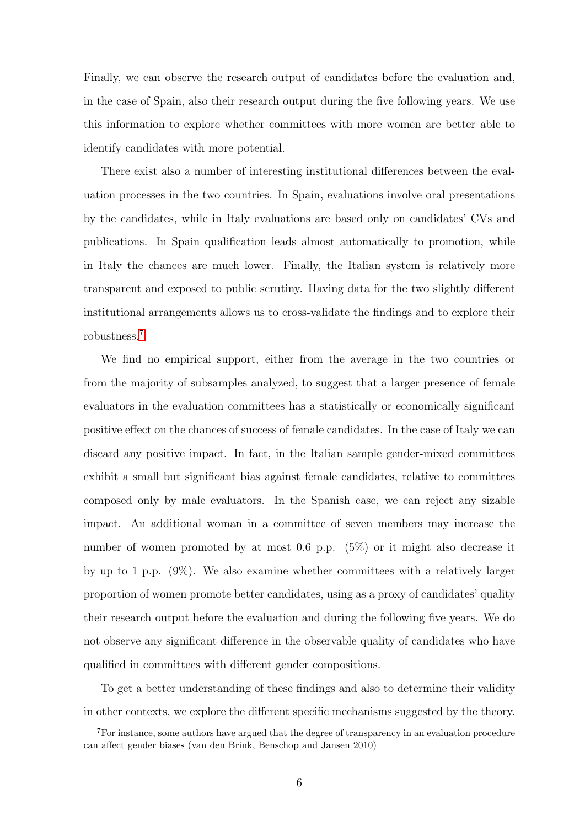Finally, we can observe the research output of candidates before the evaluation and, in the case of Spain, also their research output during the five following years. We use this information to explore whether committees with more women are better able to identify candidates with more potential.

There exist also a number of interesting institutional differences between the evaluation processes in the two countries. In Spain, evaluations involve oral presentations by the candidates, while in Italy evaluations are based only on candidates' CVs and publications. In Spain qualification leads almost automatically to promotion, while in Italy the chances are much lower. Finally, the Italian system is relatively more transparent and exposed to public scrutiny. Having data for the two slightly different institutional arrangements allows us to cross-validate the findings and to explore their robustness.[7](#page-7-0)

We find no empirical support, either from the average in the two countries or from the majority of subsamples analyzed, to suggest that a larger presence of female evaluators in the evaluation committees has a statistically or economically significant positive effect on the chances of success of female candidates. In the case of Italy we can discard any positive impact. In fact, in the Italian sample gender-mixed committees exhibit a small but significant bias against female candidates, relative to committees composed only by male evaluators. In the Spanish case, we can reject any sizable impact. An additional woman in a committee of seven members may increase the number of women promoted by at most 0.6 p.p. (5%) or it might also decrease it by up to 1 p.p. (9%). We also examine whether committees with a relatively larger proportion of women promote better candidates, using as a proxy of candidates' quality their research output before the evaluation and during the following five years. We do not observe any significant difference in the observable quality of candidates who have qualified in committees with different gender compositions.

To get a better understanding of these findings and also to determine their validity in other contexts, we explore the different specific mechanisms suggested by the theory.

<span id="page-7-0"></span><sup>&</sup>lt;sup>7</sup>For instance, some authors have argued that the degree of transparency in an evaluation procedure can affect gender biases (van den Brink, Benschop and Jansen 2010)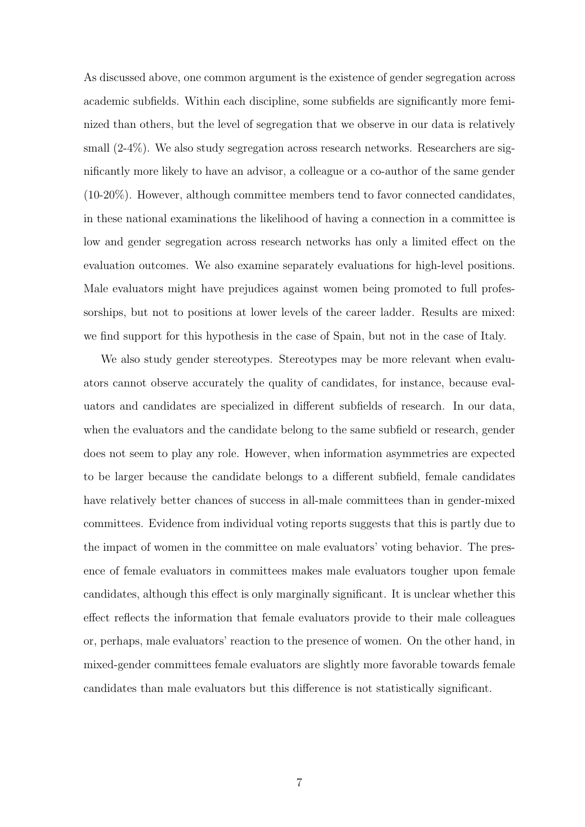As discussed above, one common argument is the existence of gender segregation across academic subfields. Within each discipline, some subfields are significantly more feminized than others, but the level of segregation that we observe in our data is relatively small (2-4%). We also study segregation across research networks. Researchers are significantly more likely to have an advisor, a colleague or a co-author of the same gender (10-20%). However, although committee members tend to favor connected candidates, in these national examinations the likelihood of having a connection in a committee is low and gender segregation across research networks has only a limited effect on the evaluation outcomes. We also examine separately evaluations for high-level positions. Male evaluators might have prejudices against women being promoted to full professorships, but not to positions at lower levels of the career ladder. Results are mixed: we find support for this hypothesis in the case of Spain, but not in the case of Italy.

We also study gender stereotypes. Stereotypes may be more relevant when evaluators cannot observe accurately the quality of candidates, for instance, because evaluators and candidates are specialized in different subfields of research. In our data, when the evaluators and the candidate belong to the same subfield or research, gender does not seem to play any role. However, when information asymmetries are expected to be larger because the candidate belongs to a different subfield, female candidates have relatively better chances of success in all-male committees than in gender-mixed committees. Evidence from individual voting reports suggests that this is partly due to the impact of women in the committee on male evaluators' voting behavior. The presence of female evaluators in committees makes male evaluators tougher upon female candidates, although this effect is only marginally significant. It is unclear whether this effect reflects the information that female evaluators provide to their male colleagues or, perhaps, male evaluators' reaction to the presence of women. On the other hand, in mixed-gender committees female evaluators are slightly more favorable towards female candidates than male evaluators but this difference is not statistically significant.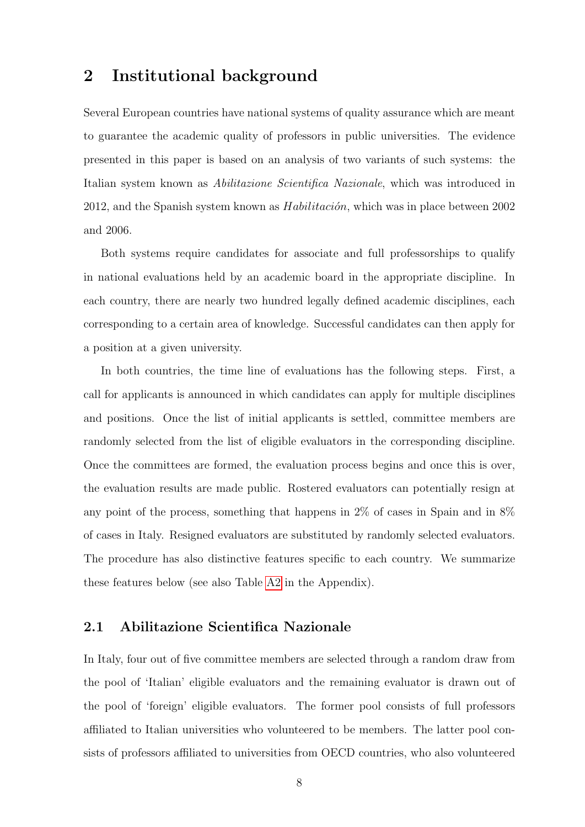## 2 Institutional background

Several European countries have national systems of quality assurance which are meant to guarantee the academic quality of professors in public universities. The evidence presented in this paper is based on an analysis of two variants of such systems: the Italian system known as Abilitazione Scientifica Nazionale, which was introduced in 2012, and the Spanish system known as  $Habilitaci\acute{o}n$ , which was in place between 2002 and 2006.

Both systems require candidates for associate and full professorships to qualify in national evaluations held by an academic board in the appropriate discipline. In each country, there are nearly two hundred legally defined academic disciplines, each corresponding to a certain area of knowledge. Successful candidates can then apply for a position at a given university.

In both countries, the time line of evaluations has the following steps. First, a call for applicants is announced in which candidates can apply for multiple disciplines and positions. Once the list of initial applicants is settled, committee members are randomly selected from the list of eligible evaluators in the corresponding discipline. Once the committees are formed, the evaluation process begins and once this is over, the evaluation results are made public. Rostered evaluators can potentially resign at any point of the process, something that happens in 2% of cases in Spain and in 8% of cases in Italy. Resigned evaluators are substituted by randomly selected evaluators. The procedure has also distinctive features specific to each country. We summarize these features below (see also Table [A2](#page-54-0) in the Appendix).

## 2.1 Abilitazione Scientifica Nazionale

In Italy, four out of five committee members are selected through a random draw from the pool of 'Italian' eligible evaluators and the remaining evaluator is drawn out of the pool of 'foreign' eligible evaluators. The former pool consists of full professors affiliated to Italian universities who volunteered to be members. The latter pool consists of professors affiliated to universities from OECD countries, who also volunteered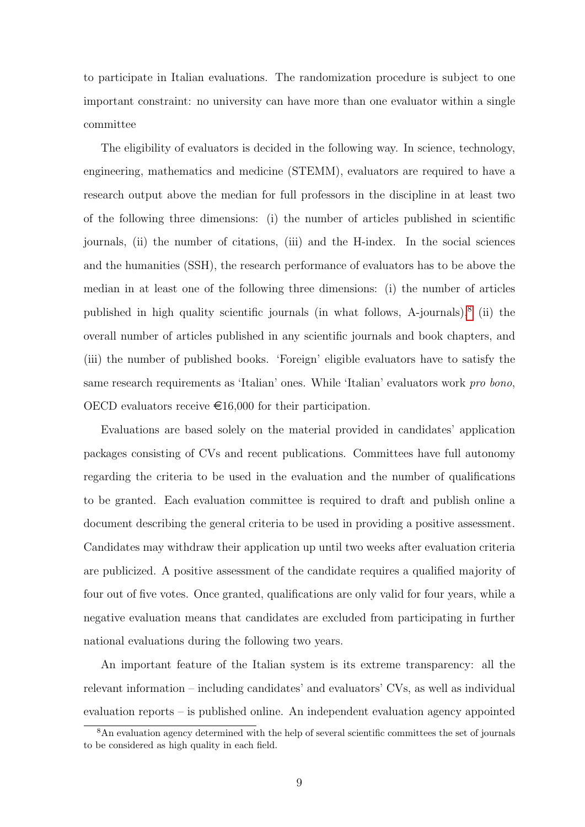to participate in Italian evaluations. The randomization procedure is subject to one important constraint: no university can have more than one evaluator within a single committee

The eligibility of evaluators is decided in the following way. In science, technology, engineering, mathematics and medicine (STEMM), evaluators are required to have a research output above the median for full professors in the discipline in at least two of the following three dimensions: (i) the number of articles published in scientific journals, (ii) the number of citations, (iii) and the H-index. In the social sciences and the humanities (SSH), the research performance of evaluators has to be above the median in at least one of the following three dimensions: (i) the number of articles published in high quality scientific journals (in what follows, A-journals), $^{8}$  $^{8}$  $^{8}$  (ii) the overall number of articles published in any scientific journals and book chapters, and (iii) the number of published books. 'Foreign' eligible evaluators have to satisfy the same research requirements as 'Italian' ones. While 'Italian' evaluators work pro bono, OECD evaluators receive  $\epsilon$ 16,000 for their participation.

Evaluations are based solely on the material provided in candidates' application packages consisting of CVs and recent publications. Committees have full autonomy regarding the criteria to be used in the evaluation and the number of qualifications to be granted. Each evaluation committee is required to draft and publish online a document describing the general criteria to be used in providing a positive assessment. Candidates may withdraw their application up until two weeks after evaluation criteria are publicized. A positive assessment of the candidate requires a qualified majority of four out of five votes. Once granted, qualifications are only valid for four years, while a negative evaluation means that candidates are excluded from participating in further national evaluations during the following two years.

An important feature of the Italian system is its extreme transparency: all the relevant information – including candidates' and evaluators' CVs, as well as individual evaluation reports – is published online. An independent evaluation agency appointed

<span id="page-10-0"></span><sup>&</sup>lt;sup>8</sup>An evaluation agency determined with the help of several scientific committees the set of journals to be considered as high quality in each field.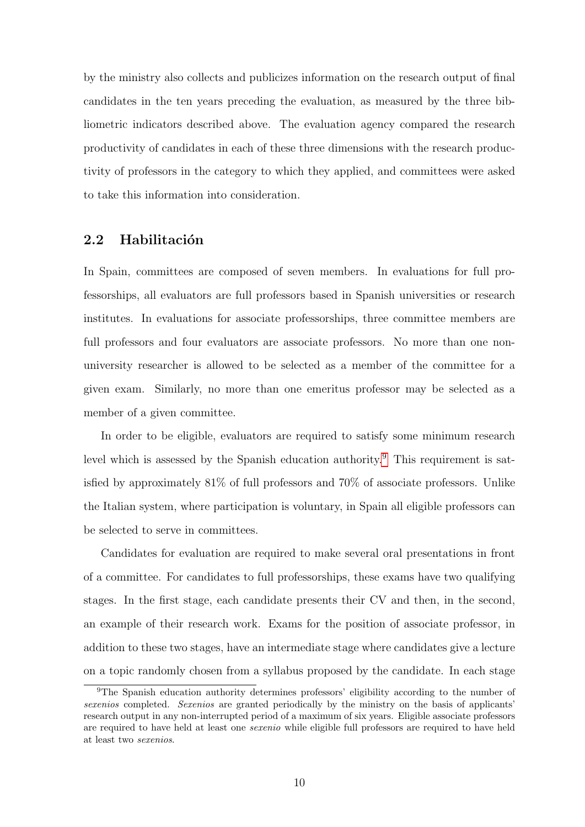by the ministry also collects and publicizes information on the research output of final candidates in the ten years preceding the evaluation, as measured by the three bibliometric indicators described above. The evaluation agency compared the research productivity of candidates in each of these three dimensions with the research productivity of professors in the category to which they applied, and committees were asked to take this information into consideration.

## 2.2 Habilitación

In Spain, committees are composed of seven members. In evaluations for full professorships, all evaluators are full professors based in Spanish universities or research institutes. In evaluations for associate professorships, three committee members are full professors and four evaluators are associate professors. No more than one nonuniversity researcher is allowed to be selected as a member of the committee for a given exam. Similarly, no more than one emeritus professor may be selected as a member of a given committee.

In order to be eligible, evaluators are required to satisfy some minimum research level which is assessed by the Spanish education authority.<sup>[9](#page-11-0)</sup> This requirement is satisfied by approximately 81% of full professors and 70% of associate professors. Unlike the Italian system, where participation is voluntary, in Spain all eligible professors can be selected to serve in committees.

Candidates for evaluation are required to make several oral presentations in front of a committee. For candidates to full professorships, these exams have two qualifying stages. In the first stage, each candidate presents their CV and then, in the second, an example of their research work. Exams for the position of associate professor, in addition to these two stages, have an intermediate stage where candidates give a lecture on a topic randomly chosen from a syllabus proposed by the candidate. In each stage

<span id="page-11-0"></span><sup>&</sup>lt;sup>9</sup>The Spanish education authority determines professors' eligibility according to the number of sexenios completed. Sexenios are granted periodically by the ministry on the basis of applicants' research output in any non-interrupted period of a maximum of six years. Eligible associate professors are required to have held at least one sexenio while eligible full professors are required to have held at least two sexenios.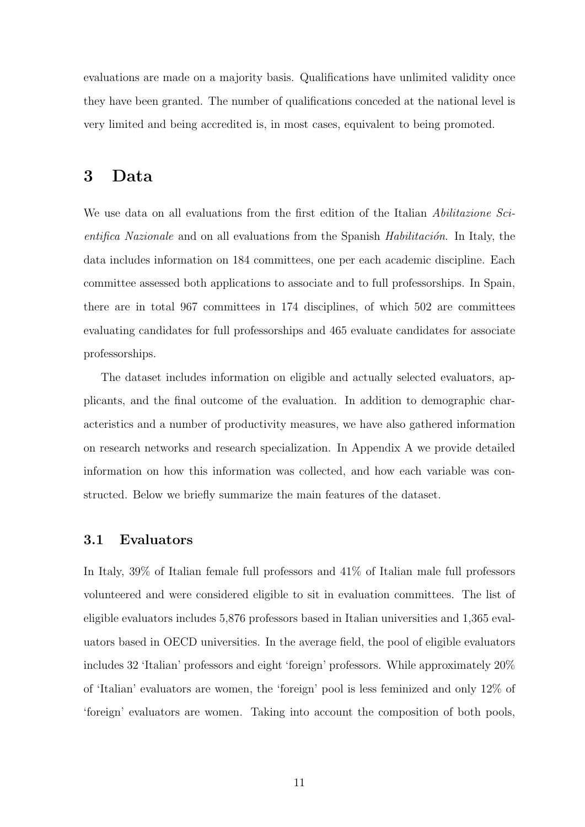evaluations are made on a majority basis. Qualifications have unlimited validity once they have been granted. The number of qualifications conceded at the national level is very limited and being accredited is, in most cases, equivalent to being promoted.

## 3 Data

We use data on all evaluations from the first edition of the Italian Abilitazione Scientifica Nazionale and on all evaluations from the Spanish Habilitación. In Italy, the data includes information on 184 committees, one per each academic discipline. Each committee assessed both applications to associate and to full professorships. In Spain, there are in total 967 committees in 174 disciplines, of which 502 are committees evaluating candidates for full professorships and 465 evaluate candidates for associate professorships.

The dataset includes information on eligible and actually selected evaluators, applicants, and the final outcome of the evaluation. In addition to demographic characteristics and a number of productivity measures, we have also gathered information on research networks and research specialization. In Appendix A we provide detailed information on how this information was collected, and how each variable was constructed. Below we briefly summarize the main features of the dataset.

### 3.1 Evaluators

In Italy, 39% of Italian female full professors and 41% of Italian male full professors volunteered and were considered eligible to sit in evaluation committees. The list of eligible evaluators includes 5,876 professors based in Italian universities and 1,365 evaluators based in OECD universities. In the average field, the pool of eligible evaluators includes 32 'Italian' professors and eight 'foreign' professors. While approximately 20% of 'Italian' evaluators are women, the 'foreign' pool is less feminized and only 12% of 'foreign' evaluators are women. Taking into account the composition of both pools,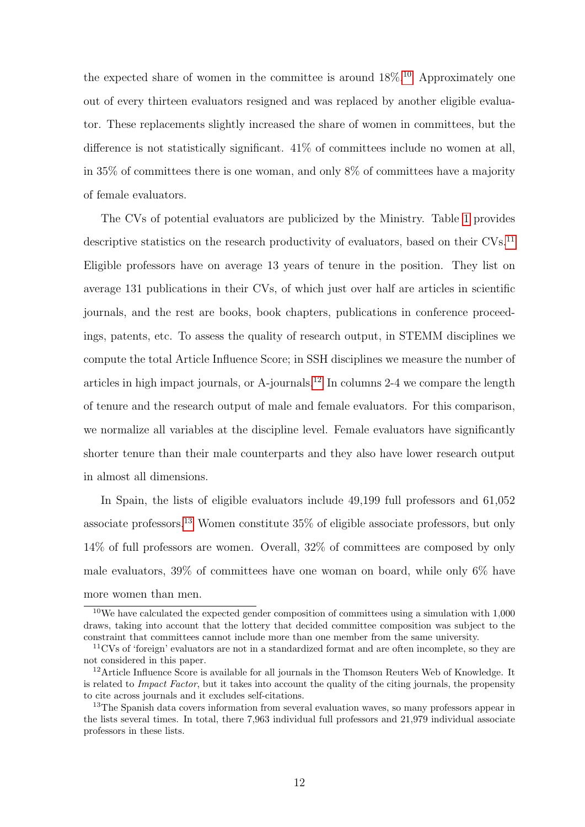the expected share of women in the committee is around  $18\%$ .<sup>[10](#page-13-0)</sup> Approximately one out of every thirteen evaluators resigned and was replaced by another eligible evaluator. These replacements slightly increased the share of women in committees, but the difference is not statistically significant. 41% of committees include no women at all, in 35% of committees there is one woman, and only 8% of committees have a majority of female evaluators.

The CVs of potential evaluators are publicized by the Ministry. Table [1](#page-37-0) provides descriptive statistics on the research productivity of evaluators, based on their CVs.<sup>[11](#page-13-1)</sup> Eligible professors have on average 13 years of tenure in the position. They list on average 131 publications in their CVs, of which just over half are articles in scientific journals, and the rest are books, book chapters, publications in conference proceedings, patents, etc. To assess the quality of research output, in STEMM disciplines we compute the total Article Influence Score; in SSH disciplines we measure the number of articles in high impact journals, or A-journals.[12](#page-13-2) In columns 2-4 we compare the length of tenure and the research output of male and female evaluators. For this comparison, we normalize all variables at the discipline level. Female evaluators have significantly shorter tenure than their male counterparts and they also have lower research output in almost all dimensions.

In Spain, the lists of eligible evaluators include 49,199 full professors and 61,052 associate professors.<sup>[13](#page-13-3)</sup> Women constitute  $35\%$  of eligible associate professors, but only 14% of full professors are women. Overall, 32% of committees are composed by only male evaluators, 39% of committees have one woman on board, while only 6% have more women than men.

<span id="page-13-0"></span><sup>10</sup>We have calculated the expected gender composition of committees using a simulation with 1,000 draws, taking into account that the lottery that decided committee composition was subject to the constraint that committees cannot include more than one member from the same university.

<span id="page-13-1"></span><sup>&</sup>lt;sup>11</sup>CVs of 'foreign' evaluators are not in a standardized format and are often incomplete, so they are not considered in this paper.

<span id="page-13-2"></span><sup>&</sup>lt;sup>12</sup>Article Influence Score is available for all journals in the Thomson Reuters Web of Knowledge. It is related to *Impact Factor*, but it takes into account the quality of the citing journals, the propensity to cite across journals and it excludes self-citations.

<span id="page-13-3"></span><sup>&</sup>lt;sup>13</sup>The Spanish data covers information from several evaluation waves, so many professors appear in the lists several times. In total, there 7,963 individual full professors and 21,979 individual associate professors in these lists.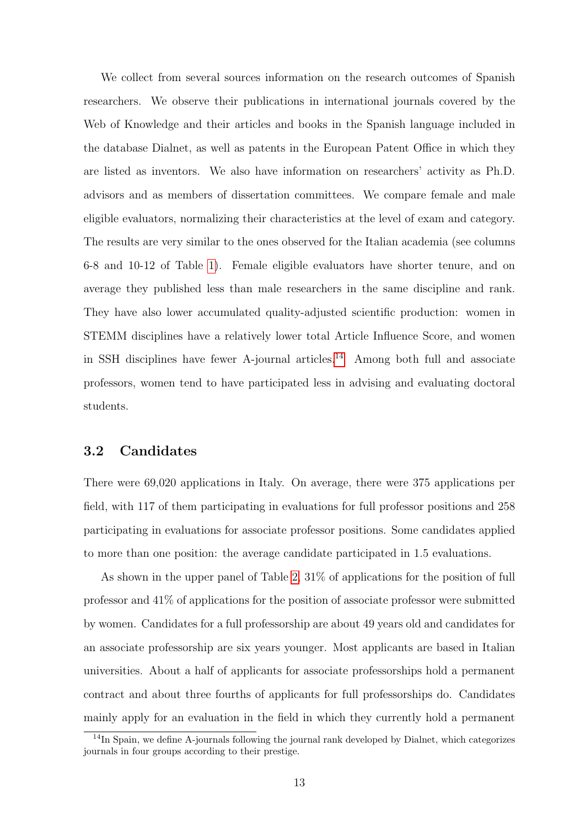We collect from several sources information on the research outcomes of Spanish researchers. We observe their publications in international journals covered by the Web of Knowledge and their articles and books in the Spanish language included in the database Dialnet, as well as patents in the European Patent Office in which they are listed as inventors. We also have information on researchers' activity as Ph.D. advisors and as members of dissertation committees. We compare female and male eligible evaluators, normalizing their characteristics at the level of exam and category. The results are very similar to the ones observed for the Italian academia (see columns 6-8 and 10-12 of Table [1\)](#page-37-0). Female eligible evaluators have shorter tenure, and on average they published less than male researchers in the same discipline and rank. They have also lower accumulated quality-adjusted scientific production: women in STEMM disciplines have a relatively lower total Article Influence Score, and women in SSH disciplines have fewer A-journal articles.<sup>[14](#page-14-0)</sup> Among both full and associate professors, women tend to have participated less in advising and evaluating doctoral students.

## 3.2 Candidates

There were 69,020 applications in Italy. On average, there were 375 applications per field, with 117 of them participating in evaluations for full professor positions and 258 participating in evaluations for associate professor positions. Some candidates applied to more than one position: the average candidate participated in 1.5 evaluations.

As shown in the upper panel of Table [2,](#page-38-0) 31% of applications for the position of full professor and 41% of applications for the position of associate professor were submitted by women. Candidates for a full professorship are about 49 years old and candidates for an associate professorship are six years younger. Most applicants are based in Italian universities. About a half of applicants for associate professorships hold a permanent contract and about three fourths of applicants for full professorships do. Candidates mainly apply for an evaluation in the field in which they currently hold a permanent

<span id="page-14-0"></span><sup>&</sup>lt;sup>14</sup>In Spain, we define A-journals following the journal rank developed by Dialnet, which categorizes journals in four groups according to their prestige.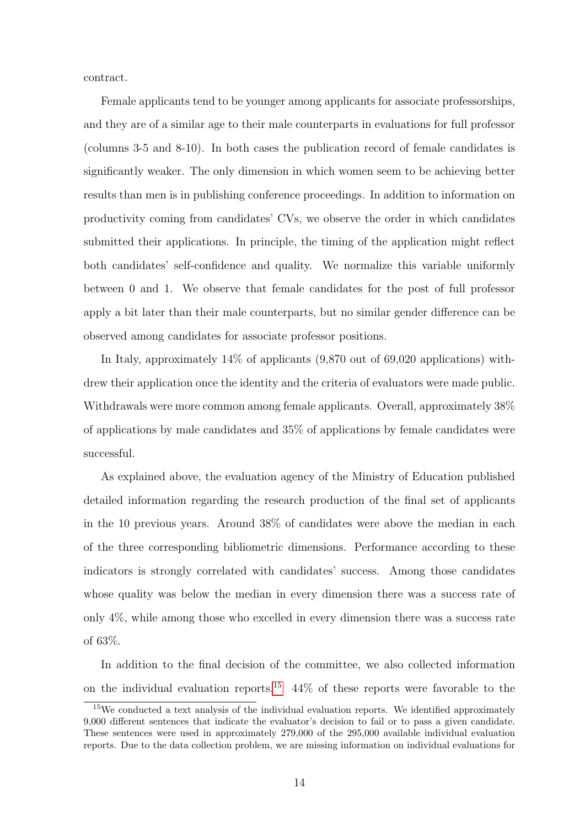contract.

Female applicants tend to be younger among applicants for associate professorships, and they are of a similar age to their male counterparts in evaluations for full professor (columns 3-5 and 8-10). In both cases the publication record of female candidates is significantly weaker. The only dimension in which women seem to be achieving better results than men is in publishing conference proceedings. In addition to information on productivity coming from candidates' CVs, we observe the order in which candidates submitted their applications. In principle, the timing of the application might reflect both candidates' self-confidence and quality. We normalize this variable uniformly between 0 and 1. We observe that female candidates for the post of full professor apply a bit later than their male counterparts, but no similar gender difference can be observed among candidates for associate professor positions.

In Italy, approximately 14% of applicants (9,870 out of 69,020 applications) withdrew their application once the identity and the criteria of evaluators were made public. Withdrawals were more common among female applicants. Overall, approximately 38% of applications by male candidates and 35% of applications by female candidates were successful.

As explained above, the evaluation agency of the Ministry of Education published detailed information regarding the research production of the final set of applicants in the 10 previous years. Around 38% of candidates were above the median in each of the three corresponding bibliometric dimensions. Performance according to these indicators is strongly correlated with candidates' success. Among those candidates whose quality was below the median in every dimension there was a success rate of only 4%, while among those who excelled in every dimension there was a success rate of 63%.

In addition to the final decision of the committee, we also collected information on the individual evaluation reports.<sup>[15](#page-15-0)</sup> 44% of these reports were favorable to the

<span id="page-15-0"></span><sup>15</sup>We conducted a text analysis of the individual evaluation reports. We identified approximately 9,000 different sentences that indicate the evaluator's decision to fail or to pass a given candidate. These sentences were used in approximately 279,000 of the 295,000 available individual evaluation reports. Due to the data collection problem, we are missing information on individual evaluations for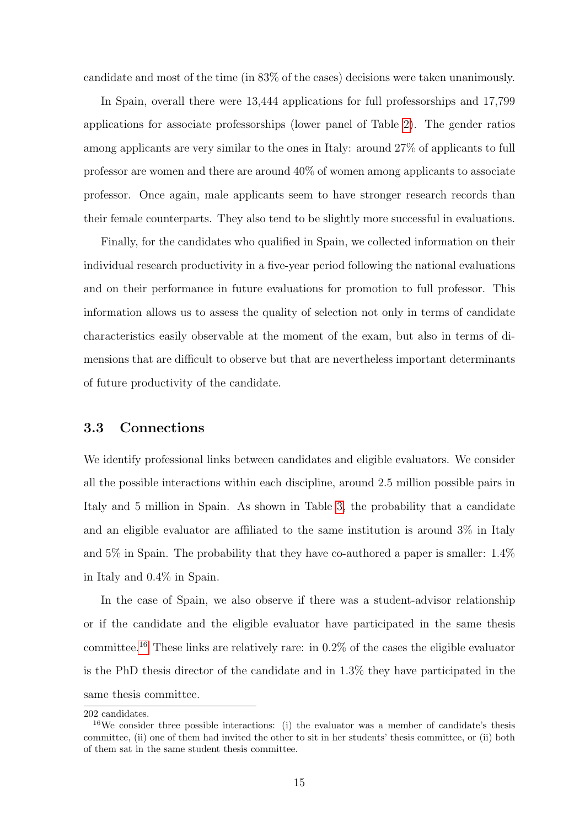candidate and most of the time (in 83% of the cases) decisions were taken unanimously.

In Spain, overall there were 13,444 applications for full professorships and 17,799 applications for associate professorships (lower panel of Table [2\)](#page-38-0). The gender ratios among applicants are very similar to the ones in Italy: around 27% of applicants to full professor are women and there are around 40% of women among applicants to associate professor. Once again, male applicants seem to have stronger research records than their female counterparts. They also tend to be slightly more successful in evaluations.

Finally, for the candidates who qualified in Spain, we collected information on their individual research productivity in a five-year period following the national evaluations and on their performance in future evaluations for promotion to full professor. This information allows us to assess the quality of selection not only in terms of candidate characteristics easily observable at the moment of the exam, but also in terms of dimensions that are difficult to observe but that are nevertheless important determinants of future productivity of the candidate.

### 3.3 Connections

We identify professional links between candidates and eligible evaluators. We consider all the possible interactions within each discipline, around 2.5 million possible pairs in Italy and 5 million in Spain. As shown in Table [3,](#page-39-0) the probability that a candidate and an eligible evaluator are affiliated to the same institution is around 3% in Italy and  $5\%$  in Spain. The probability that they have co-authored a paper is smaller:  $1.4\%$ in Italy and 0.4% in Spain.

In the case of Spain, we also observe if there was a student-advisor relationship or if the candidate and the eligible evaluator have participated in the same thesis committee.<sup>[16](#page-16-0)</sup> These links are relatively rare: in  $0.2\%$  of the cases the eligible evaluator is the PhD thesis director of the candidate and in 1.3% they have participated in the same thesis committee.

<sup>202</sup> candidates.

<span id="page-16-0"></span><sup>&</sup>lt;sup>16</sup>We consider three possible interactions: (i) the evaluator was a member of candidate's thesis committee, (ii) one of them had invited the other to sit in her students' thesis committee, or (ii) both of them sat in the same student thesis committee.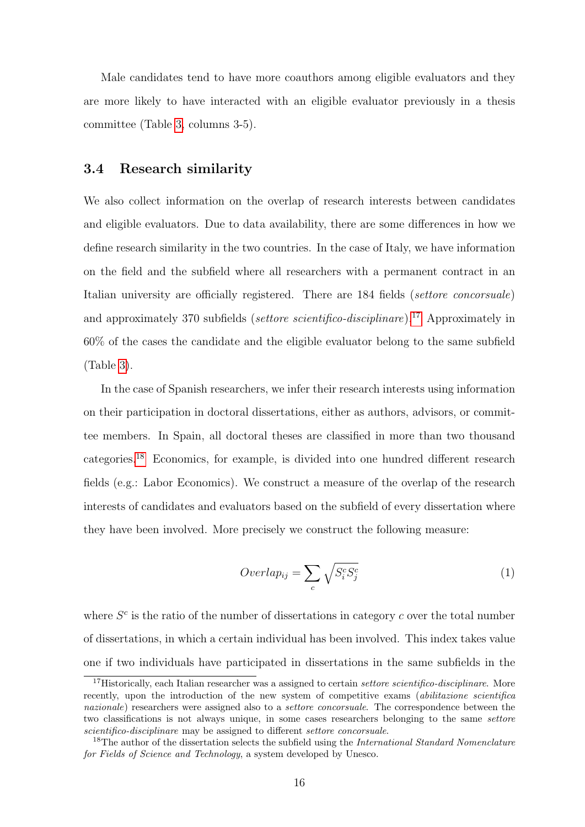Male candidates tend to have more coauthors among eligible evaluators and they are more likely to have interacted with an eligible evaluator previously in a thesis committee (Table [3,](#page-39-0) columns 3-5).

### 3.4 Research similarity

We also collect information on the overlap of research interests between candidates and eligible evaluators. Due to data availability, there are some differences in how we define research similarity in the two countries. In the case of Italy, we have information on the field and the subfield where all researchers with a permanent contract in an Italian university are officially registered. There are 184 fields (settore concorsuale) and approximately 370 subfields (settore scientifico-disciplinare).<sup>[17](#page-17-0)</sup> Approximately in 60% of the cases the candidate and the eligible evaluator belong to the same subfield (Table [3\)](#page-39-0).

In the case of Spanish researchers, we infer their research interests using information on their participation in doctoral dissertations, either as authors, advisors, or committee members. In Spain, all doctoral theses are classified in more than two thousand categories.[18](#page-17-1) Economics, for example, is divided into one hundred different research fields (e.g.: Labor Economics). We construct a measure of the overlap of the research interests of candidates and evaluators based on the subfield of every dissertation where they have been involved. More precisely we construct the following measure:

$$
Overlap_{ij} = \sum_{c} \sqrt{S_i^c S_j^c}
$$
 (1)

where  $S<sup>c</sup>$  is the ratio of the number of dissertations in category c over the total number of dissertations, in which a certain individual has been involved. This index takes value one if two individuals have participated in dissertations in the same subfields in the

<span id="page-17-0"></span><sup>&</sup>lt;sup>17</sup>Historically, each Italian researcher was a assigned to certain *settore scientifico-disciplinare*. More recently, upon the introduction of the new system of competitive exams (abilitazione scientifica nazionale) researchers were assigned also to a *settore concorsuale*. The correspondence between the two classifications is not always unique, in some cases researchers belonging to the same settore scientifico-disciplinare may be assigned to different settore concorsuale.

<span id="page-17-1"></span> $18$ The author of the dissertation selects the subfield using the *International Standard Nomenclature* for Fields of Science and Technology, a system developed by Unesco.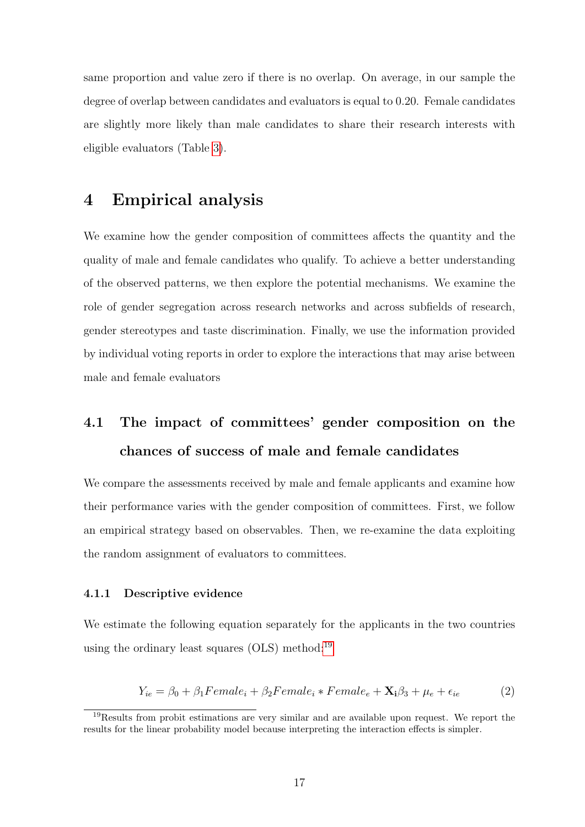same proportion and value zero if there is no overlap. On average, in our sample the degree of overlap between candidates and evaluators is equal to 0.20. Female candidates are slightly more likely than male candidates to share their research interests with eligible evaluators (Table [3\)](#page-39-0).

## 4 Empirical analysis

We examine how the gender composition of committees affects the quantity and the quality of male and female candidates who qualify. To achieve a better understanding of the observed patterns, we then explore the potential mechanisms. We examine the role of gender segregation across research networks and across subfields of research, gender stereotypes and taste discrimination. Finally, we use the information provided by individual voting reports in order to explore the interactions that may arise between male and female evaluators

# 4.1 The impact of committees' gender composition on the chances of success of male and female candidates

We compare the assessments received by male and female applicants and examine how their performance varies with the gender composition of committees. First, we follow an empirical strategy based on observables. Then, we re-examine the data exploiting the random assignment of evaluators to committees.

#### 4.1.1 Descriptive evidence

We estimate the following equation separately for the applicants in the two countries using the ordinary least squares  $(OLS)$  method:<sup>[19](#page-18-0)</sup>

$$
Y_{ie} = \beta_0 + \beta_1 Female_i + \beta_2 Female_i * Female_e + \mathbf{X}_i\beta_3 + \mu_e + \epsilon_{ie}
$$
 (2)

<span id="page-18-0"></span><sup>&</sup>lt;sup>19</sup>Results from probit estimations are very similar and are available upon request. We report the results for the linear probability model because interpreting the interaction effects is simpler.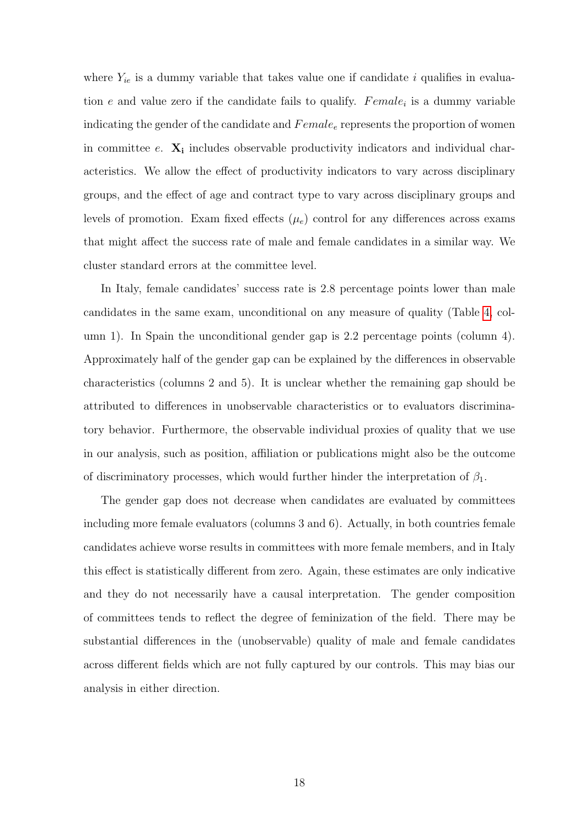where  $Y_{ie}$  is a dummy variable that takes value one if candidate i qualifies in evaluation e and value zero if the candidate fails to qualify.  $Female_i$  is a dummy variable indicating the gender of the candidate and  $Female_e$  represents the proportion of women in committee  $e$ .  $\mathbf{X}_i$  includes observable productivity indicators and individual characteristics. We allow the effect of productivity indicators to vary across disciplinary groups, and the effect of age and contract type to vary across disciplinary groups and levels of promotion. Exam fixed effects  $(\mu_e)$  control for any differences across exams that might affect the success rate of male and female candidates in a similar way. We cluster standard errors at the committee level.

In Italy, female candidates' success rate is 2.8 percentage points lower than male candidates in the same exam, unconditional on any measure of quality (Table [4,](#page-39-1) column 1). In Spain the unconditional gender gap is 2.2 percentage points (column 4). Approximately half of the gender gap can be explained by the differences in observable characteristics (columns 2 and 5). It is unclear whether the remaining gap should be attributed to differences in unobservable characteristics or to evaluators discriminatory behavior. Furthermore, the observable individual proxies of quality that we use in our analysis, such as position, affiliation or publications might also be the outcome of discriminatory processes, which would further hinder the interpretation of  $\beta_1$ .

The gender gap does not decrease when candidates are evaluated by committees including more female evaluators (columns 3 and 6). Actually, in both countries female candidates achieve worse results in committees with more female members, and in Italy this effect is statistically different from zero. Again, these estimates are only indicative and they do not necessarily have a causal interpretation. The gender composition of committees tends to reflect the degree of feminization of the field. There may be substantial differences in the (unobservable) quality of male and female candidates across different fields which are not fully captured by our controls. This may bias our analysis in either direction.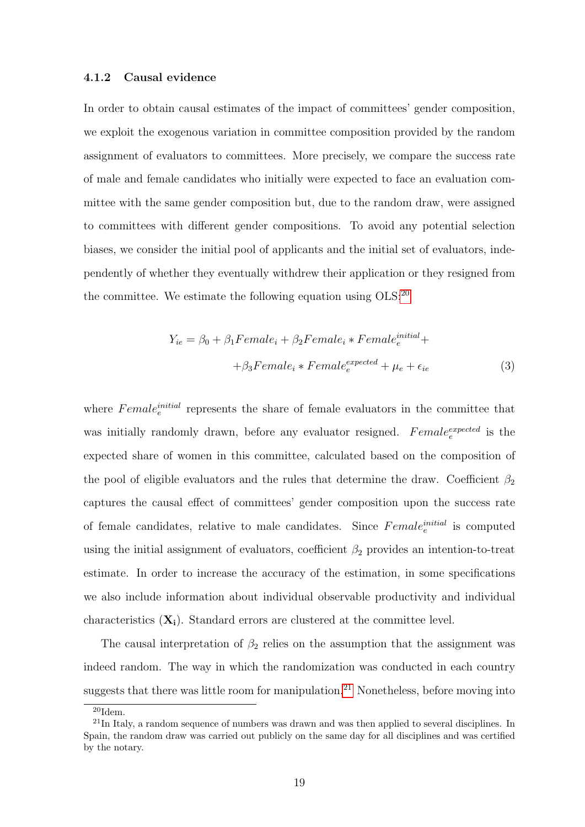#### 4.1.2 Causal evidence

In order to obtain causal estimates of the impact of committees' gender composition, we exploit the exogenous variation in committee composition provided by the random assignment of evaluators to committees. More precisely, we compare the success rate of male and female candidates who initially were expected to face an evaluation committee with the same gender composition but, due to the random draw, were assigned to committees with different gender compositions. To avoid any potential selection biases, we consider the initial pool of applicants and the initial set of evaluators, independently of whether they eventually withdrew their application or they resigned from the committee. We estimate the following equation using  $OLS:^{20}$  $OLS:^{20}$  $OLS:^{20}$ 

<span id="page-20-2"></span>
$$
Y_{ie} = \beta_0 + \beta_1 Female_i + \beta_2 Female_i * Female_e^{initial} +
$$

$$
+ \beta_3 Female_i * Female_e^{expected} + \mu_e + \epsilon_{ie}
$$
(3)

where  $Female<sub>e</sub><sup>initial</sup>$  represents the share of female evaluators in the committee that was initially randomly drawn, before any evaluator resigned.  $Female<sub>e</sub><sup>expected</sup>$  is the expected share of women in this committee, calculated based on the composition of the pool of eligible evaluators and the rules that determine the draw. Coefficient  $\beta_2$ captures the causal effect of committees' gender composition upon the success rate of female candidates, relative to male candidates. Since  $Female_e^{initial}$  is computed using the initial assignment of evaluators, coefficient  $\beta_2$  provides an intention-to-treat estimate. In order to increase the accuracy of the estimation, in some specifications we also include information about individual observable productivity and individual characteristics  $(X_i)$ . Standard errors are clustered at the committee level.

The causal interpretation of  $\beta_2$  relies on the assumption that the assignment was indeed random. The way in which the randomization was conducted in each country suggests that there was little room for manipulation.<sup>[21](#page-20-1)</sup> Nonetheless, before moving into

<span id="page-20-1"></span><span id="page-20-0"></span> $20$ Idem.

<sup>&</sup>lt;sup>21</sup>In Italy, a random sequence of numbers was drawn and was then applied to several disciplines. In Spain, the random draw was carried out publicly on the same day for all disciplines and was certified by the notary.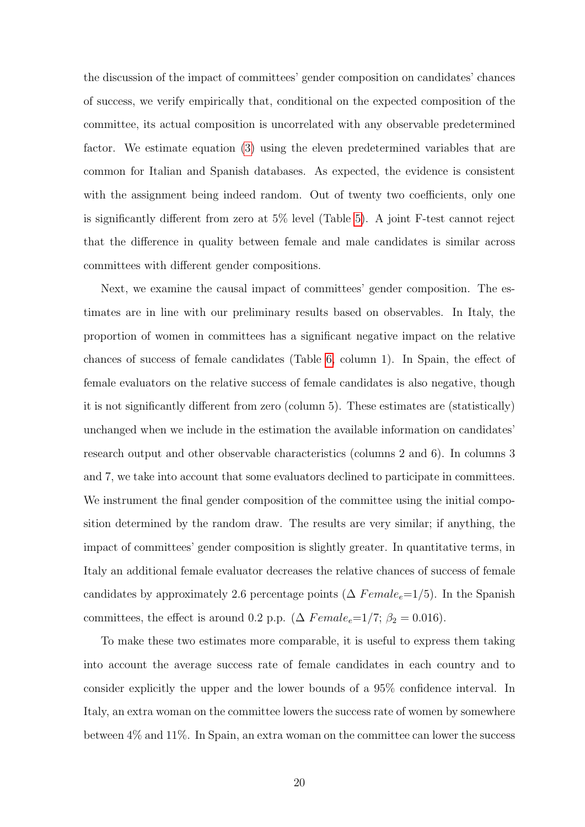the discussion of the impact of committees' gender composition on candidates' chances of success, we verify empirically that, conditional on the expected composition of the committee, its actual composition is uncorrelated with any observable predetermined factor. We estimate equation [\(3\)](#page-20-2) using the eleven predetermined variables that are common for Italian and Spanish databases. As expected, the evidence is consistent with the assignment being indeed random. Out of twenty two coefficients, only one is significantly different from zero at 5% level (Table [5\)](#page-39-2). A joint F-test cannot reject that the difference in quality between female and male candidates is similar across committees with different gender compositions.

Next, we examine the causal impact of committees' gender composition. The estimates are in line with our preliminary results based on observables. In Italy, the proportion of women in committees has a significant negative impact on the relative chances of success of female candidates (Table [6,](#page-40-0) column 1). In Spain, the effect of female evaluators on the relative success of female candidates is also negative, though it is not significantly different from zero (column 5). These estimates are (statistically) unchanged when we include in the estimation the available information on candidates' research output and other observable characteristics (columns 2 and 6). In columns 3 and 7, we take into account that some evaluators declined to participate in committees. We instrument the final gender composition of the committee using the initial composition determined by the random draw. The results are very similar; if anything, the impact of committees' gender composition is slightly greater. In quantitative terms, in Italy an additional female evaluator decreases the relative chances of success of female candidates by approximately 2.6 percentage points ( $\Delta$  Female<sub>e</sub>=1/5). In the Spanish committees, the effect is around 0.2 p.p. ( $\Delta$  Female<sub>e</sub>=1/7;  $\beta_2 = 0.016$ ).

To make these two estimates more comparable, it is useful to express them taking into account the average success rate of female candidates in each country and to consider explicitly the upper and the lower bounds of a 95% confidence interval. In Italy, an extra woman on the committee lowers the success rate of women by somewhere between 4% and 11%. In Spain, an extra woman on the committee can lower the success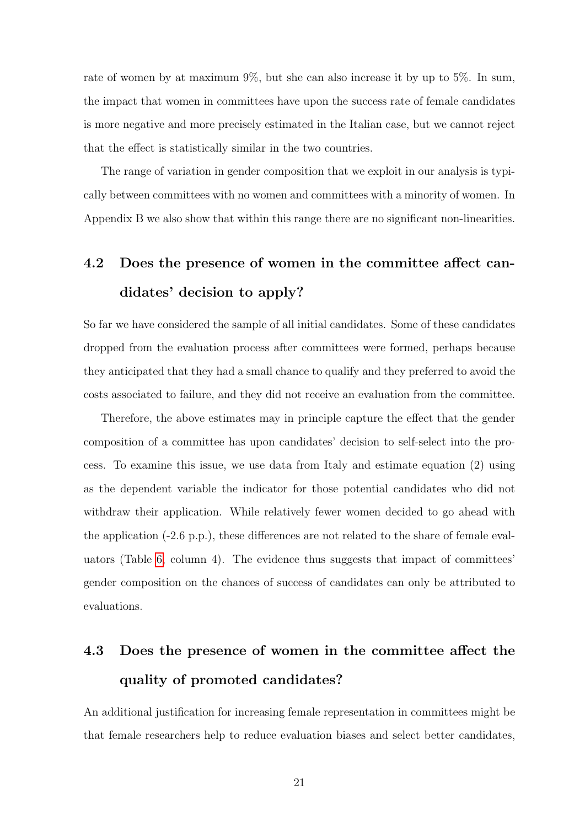rate of women by at maximum 9%, but she can also increase it by up to 5%. In sum, the impact that women in committees have upon the success rate of female candidates is more negative and more precisely estimated in the Italian case, but we cannot reject that the effect is statistically similar in the two countries.

The range of variation in gender composition that we exploit in our analysis is typically between committees with no women and committees with a minority of women. In Appendix B we also show that within this range there are no significant non-linearities.

# 4.2 Does the presence of women in the committee affect candidates' decision to apply?

So far we have considered the sample of all initial candidates. Some of these candidates dropped from the evaluation process after committees were formed, perhaps because they anticipated that they had a small chance to qualify and they preferred to avoid the costs associated to failure, and they did not receive an evaluation from the committee.

Therefore, the above estimates may in principle capture the effect that the gender composition of a committee has upon candidates' decision to self-select into the process. To examine this issue, we use data from Italy and estimate equation (2) using as the dependent variable the indicator for those potential candidates who did not withdraw their application. While relatively fewer women decided to go ahead with the application (-2.6 p.p.), these differences are not related to the share of female evaluators (Table [6,](#page-40-0) column 4). The evidence thus suggests that impact of committees' gender composition on the chances of success of candidates can only be attributed to evaluations.

# 4.3 Does the presence of women in the committee affect the quality of promoted candidates?

An additional justification for increasing female representation in committees might be that female researchers help to reduce evaluation biases and select better candidates,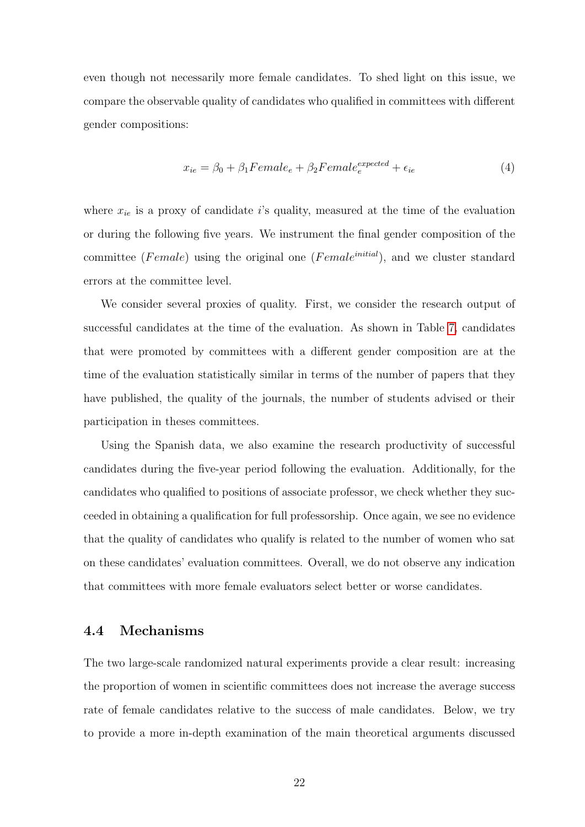even though not necessarily more female candidates. To shed light on this issue, we compare the observable quality of candidates who qualified in committees with different gender compositions:

$$
x_{ie} = \beta_0 + \beta_1 Female_e + \beta_2 Female_e^{expected} + \epsilon_{ie}
$$
\n
$$
\tag{4}
$$

where  $x_{ie}$  is a proxy of candidate i's quality, measured at the time of the evaluation or during the following five years. We instrument the final gender composition of the committee (Female) using the original one (Female<sup>initial</sup>), and we cluster standard errors at the committee level.

We consider several proxies of quality. First, we consider the research output of successful candidates at the time of the evaluation. As shown in Table [7,](#page-40-1) candidates that were promoted by committees with a different gender composition are at the time of the evaluation statistically similar in terms of the number of papers that they have published, the quality of the journals, the number of students advised or their participation in theses committees.

Using the Spanish data, we also examine the research productivity of successful candidates during the five-year period following the evaluation. Additionally, for the candidates who qualified to positions of associate professor, we check whether they succeeded in obtaining a qualification for full professorship. Once again, we see no evidence that the quality of candidates who qualify is related to the number of women who sat on these candidates' evaluation committees. Overall, we do not observe any indication that committees with more female evaluators select better or worse candidates.

### 4.4 Mechanisms

The two large-scale randomized natural experiments provide a clear result: increasing the proportion of women in scientific committees does not increase the average success rate of female candidates relative to the success of male candidates. Below, we try to provide a more in-depth examination of the main theoretical arguments discussed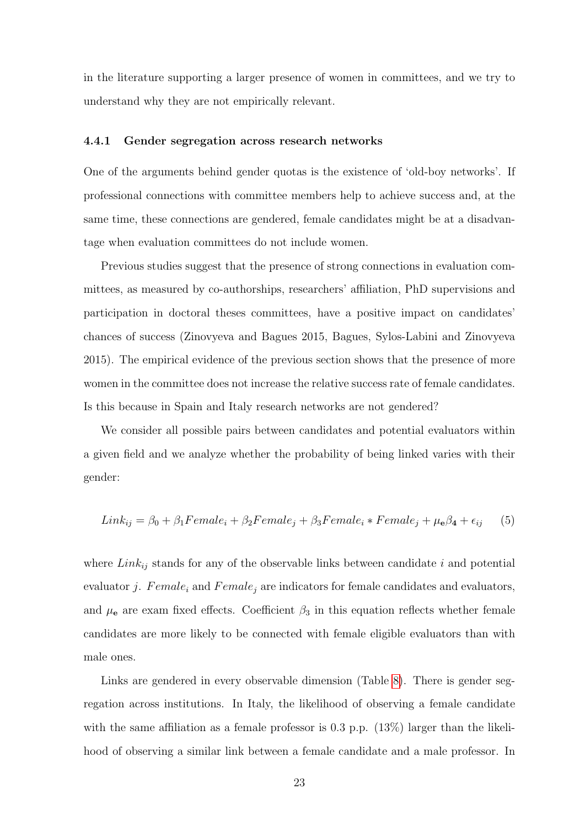in the literature supporting a larger presence of women in committees, and we try to understand why they are not empirically relevant.

#### 4.4.1 Gender segregation across research networks

One of the arguments behind gender quotas is the existence of 'old-boy networks'. If professional connections with committee members help to achieve success and, at the same time, these connections are gendered, female candidates might be at a disadvantage when evaluation committees do not include women.

Previous studies suggest that the presence of strong connections in evaluation committees, as measured by co-authorships, researchers' affiliation, PhD supervisions and participation in doctoral theses committees, have a positive impact on candidates' chances of success (Zinovyeva and Bagues 2015, Bagues, Sylos-Labini and Zinovyeva 2015). The empirical evidence of the previous section shows that the presence of more women in the committee does not increase the relative success rate of female candidates. Is this because in Spain and Italy research networks are not gendered?

We consider all possible pairs between candidates and potential evaluators within a given field and we analyze whether the probability of being linked varies with their gender:

<span id="page-24-0"></span>
$$
Link_{ij} = \beta_0 + \beta_1 Female_i + \beta_2 Female_j + \beta_3 Female_i * Female_j + \mu_e \beta_4 + \epsilon_{ij} \tag{5}
$$

where  $Link_{ij}$  stands for any of the observable links between candidate i and potential evaluator j. Female<sub>i</sub> and Female<sub>j</sub> are indicators for female candidates and evaluators, and  $\mu_{\rm e}$  are exam fixed effects. Coefficient  $\beta_3$  in this equation reflects whether female candidates are more likely to be connected with female eligible evaluators than with male ones.

Links are gendered in every observable dimension (Table [8\)](#page-41-0). There is gender segregation across institutions. In Italy, the likelihood of observing a female candidate with the same affiliation as a female professor is  $0.3$  p.p.  $(13\%)$  larger than the likelihood of observing a similar link between a female candidate and a male professor. In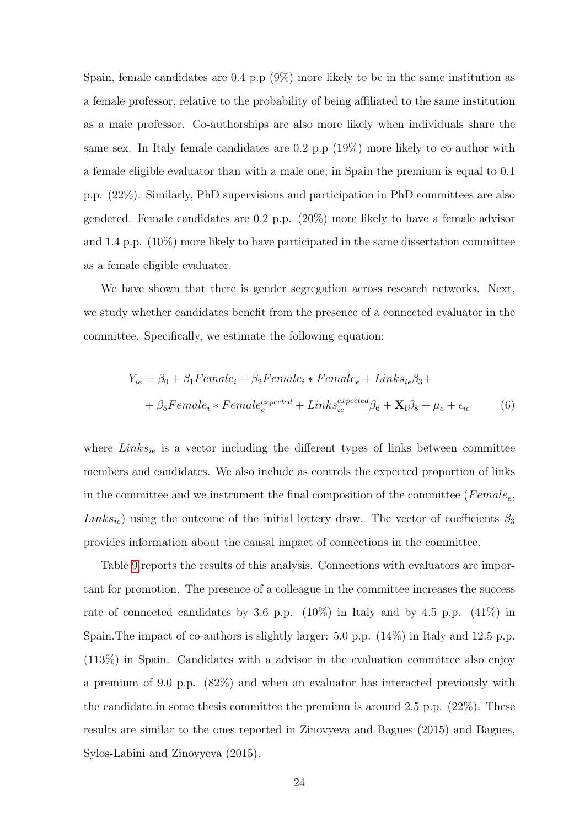Spain, female candidates are  $0.4$  p.p  $(9\%)$  more likely to be in the same institution as a female professor, relative to the probability of being affiliated to the same institution as a male professor. Co-authorships are also more likely when individuals share the same sex. In Italy female candidates are 0.2 p.p (19%) more likely to co-author with a female eligible evaluator than with a male one; in Spain the premium is equal to 0.1 p.p. (22%). Similarly, PhD supervisions and participation in PhD committees are also gendered. Female candidates are 0.2 p.p. (20%) more likely to have a female advisor and 1.4 p.p. (10%) more likely to have participated in the same dissertation committee as a female eligible evaluator.

We have shown that there is gender segregation across research networks. Next, we study whether candidates benefit from the presence of a connected evaluator in the committee. Specifically, we estimate the following equation:

$$
Y_{ie} = \beta_0 + \beta_1 Female_i + \beta_2 Female_i * Female_e + Links_{ie}\beta_3 +
$$
  
+  $\beta_5 Female_i * Female_e^{expected} + Links_{ie}^{expected}\beta_6 + \mathbf{X}_i\beta_8 + \mu_e + \epsilon_{ie}$  (6)

where  $Links_{ie}$  is a vector including the different types of links between committee members and candidates. We also include as controls the expected proportion of links in the committee and we instrument the final composition of the committee ( $Female_e$ ,  $Links_{ie}$ ) using the outcome of the initial lottery draw. The vector of coefficients  $\beta_3$ provides information about the causal impact of connections in the committee.

Table [9](#page-41-1) reports the results of this analysis. Connections with evaluators are important for promotion. The presence of a colleague in the committee increases the success rate of connected candidates by 3.6 p.p.  $(10\%)$  in Italy and by 4.5 p.p.  $(41\%)$  in Spain.The impact of co-authors is slightly larger: 5.0 p.p. (14%) in Italy and 12.5 p.p. (113%) in Spain. Candidates with a advisor in the evaluation committee also enjoy a premium of 9.0 p.p. (82%) and when an evaluator has interacted previously with the candidate in some thesis committee the premium is around 2.5 p.p. (22%). These results are similar to the ones reported in Zinovyeva and Bagues (2015) and Bagues, Sylos-Labini and Zinovyeva (2015).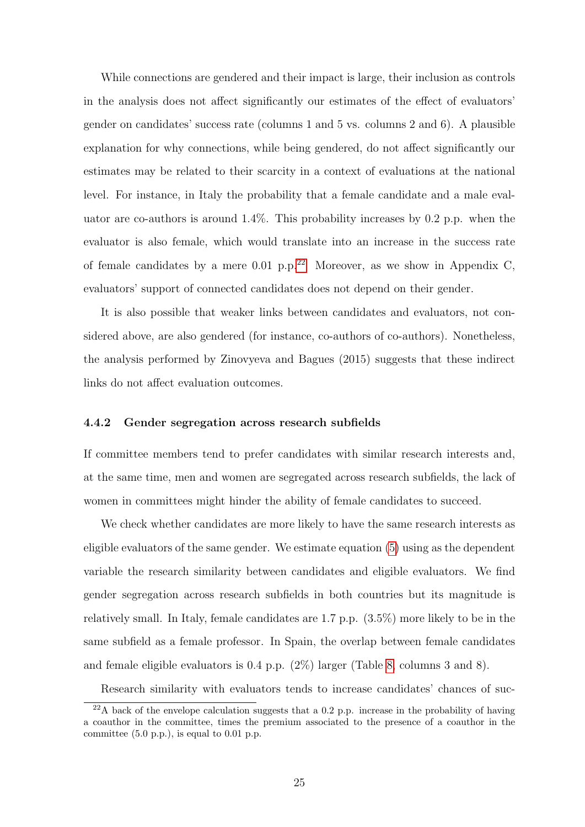While connections are gendered and their impact is large, their inclusion as controls in the analysis does not affect significantly our estimates of the effect of evaluators' gender on candidates' success rate (columns 1 and 5 vs. columns 2 and 6). A plausible explanation for why connections, while being gendered, do not affect significantly our estimates may be related to their scarcity in a context of evaluations at the national level. For instance, in Italy the probability that a female candidate and a male evaluator are co-authors is around  $1.4\%$ . This probability increases by 0.2 p.p. when the evaluator is also female, which would translate into an increase in the success rate of female candidates by a mere 0.01 p.p.<sup>[22](#page-26-0)</sup> Moreover, as we show in Appendix C, evaluators' support of connected candidates does not depend on their gender.

It is also possible that weaker links between candidates and evaluators, not considered above, are also gendered (for instance, co-authors of co-authors). Nonetheless, the analysis performed by Zinovyeva and Bagues (2015) suggests that these indirect links do not affect evaluation outcomes.

#### <span id="page-26-1"></span>4.4.2 Gender segregation across research subfields

If committee members tend to prefer candidates with similar research interests and, at the same time, men and women are segregated across research subfields, the lack of women in committees might hinder the ability of female candidates to succeed.

We check whether candidates are more likely to have the same research interests as eligible evaluators of the same gender. We estimate equation [\(5\)](#page-24-0) using as the dependent variable the research similarity between candidates and eligible evaluators. We find gender segregation across research subfields in both countries but its magnitude is relatively small. In Italy, female candidates are 1.7 p.p. (3.5%) more likely to be in the same subfield as a female professor. In Spain, the overlap between female candidates and female eligible evaluators is 0.4 p.p. (2%) larger (Table [8,](#page-41-0) columns 3 and 8).

Research similarity with evaluators tends to increase candidates' chances of suc-

<span id="page-26-0"></span> $22A$  back of the envelope calculation suggests that a 0.2 p.p. increase in the probability of having a coauthor in the committee, times the premium associated to the presence of a coauthor in the committee  $(5.0 p.p.),$  is equal to  $0.01 p.p.$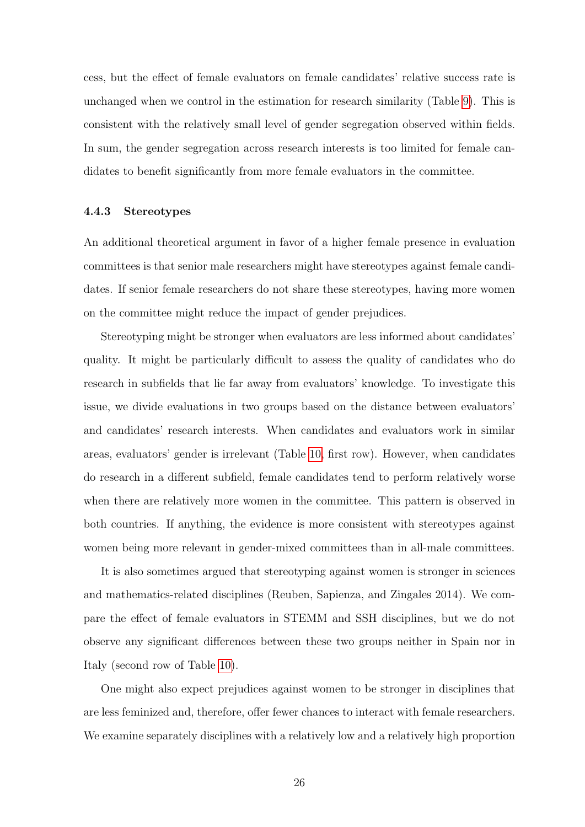cess, but the effect of female evaluators on female candidates' relative success rate is unchanged when we control in the estimation for research similarity (Table [9\)](#page-41-1). This is consistent with the relatively small level of gender segregation observed within fields. In sum, the gender segregation across research interests is too limited for female candidates to benefit significantly from more female evaluators in the committee.

#### 4.4.3 Stereotypes

An additional theoretical argument in favor of a higher female presence in evaluation committees is that senior male researchers might have stereotypes against female candidates. If senior female researchers do not share these stereotypes, having more women on the committee might reduce the impact of gender prejudices.

Stereotyping might be stronger when evaluators are less informed about candidates' quality. It might be particularly difficult to assess the quality of candidates who do research in subfields that lie far away from evaluators' knowledge. To investigate this issue, we divide evaluations in two groups based on the distance between evaluators' and candidates' research interests. When candidates and evaluators work in similar areas, evaluators' gender is irrelevant (Table [10,](#page-42-0) first row). However, when candidates do research in a different subfield, female candidates tend to perform relatively worse when there are relatively more women in the committee. This pattern is observed in both countries. If anything, the evidence is more consistent with stereotypes against women being more relevant in gender-mixed committees than in all-male committees.

It is also sometimes argued that stereotyping against women is stronger in sciences and mathematics-related disciplines (Reuben, Sapienza, and Zingales 2014). We compare the effect of female evaluators in STEMM and SSH disciplines, but we do not observe any significant differences between these two groups neither in Spain nor in Italy (second row of Table [10\)](#page-42-0).

One might also expect prejudices against women to be stronger in disciplines that are less feminized and, therefore, offer fewer chances to interact with female researchers. We examine separately disciplines with a relatively low and a relatively high proportion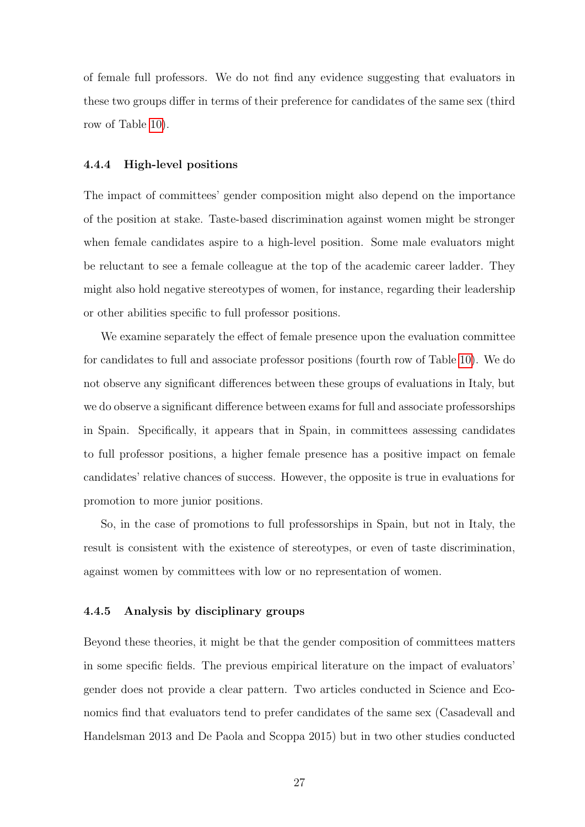of female full professors. We do not find any evidence suggesting that evaluators in these two groups differ in terms of their preference for candidates of the same sex (third row of Table [10\)](#page-42-0).

#### 4.4.4 High-level positions

The impact of committees' gender composition might also depend on the importance of the position at stake. Taste-based discrimination against women might be stronger when female candidates aspire to a high-level position. Some male evaluators might be reluctant to see a female colleague at the top of the academic career ladder. They might also hold negative stereotypes of women, for instance, regarding their leadership or other abilities specific to full professor positions.

We examine separately the effect of female presence upon the evaluation committee for candidates to full and associate professor positions (fourth row of Table [10\)](#page-42-0). We do not observe any significant differences between these groups of evaluations in Italy, but we do observe a significant difference between exams for full and associate professorships in Spain. Specifically, it appears that in Spain, in committees assessing candidates to full professor positions, a higher female presence has a positive impact on female candidates' relative chances of success. However, the opposite is true in evaluations for promotion to more junior positions.

So, in the case of promotions to full professorships in Spain, but not in Italy, the result is consistent with the existence of stereotypes, or even of taste discrimination, against women by committees with low or no representation of women.

#### 4.4.5 Analysis by disciplinary groups

Beyond these theories, it might be that the gender composition of committees matters in some specific fields. The previous empirical literature on the impact of evaluators' gender does not provide a clear pattern. Two articles conducted in Science and Economics find that evaluators tend to prefer candidates of the same sex (Casadevall and Handelsman 2013 and De Paola and Scoppa 2015) but in two other studies conducted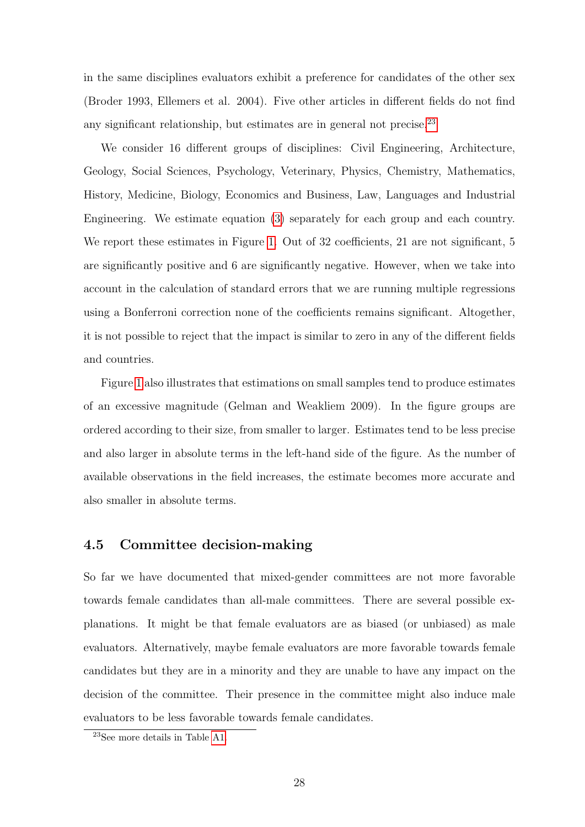in the same disciplines evaluators exhibit a preference for candidates of the other sex (Broder 1993, Ellemers et al. 2004). Five other articles in different fields do not find any significant relationship, but estimates are in general not precise. $^{23}$  $^{23}$  $^{23}$ 

We consider 16 different groups of disciplines: Civil Engineering, Architecture, Geology, Social Sciences, Psychology, Veterinary, Physics, Chemistry, Mathematics, History, Medicine, Biology, Economics and Business, Law, Languages and Industrial Engineering. We estimate equation [\(3\)](#page-20-2) separately for each group and each country. We report these estimates in Figure [1.](#page-43-0) Out of 32 coefficients, 21 are not significant, 5 are significantly positive and 6 are significantly negative. However, when we take into account in the calculation of standard errors that we are running multiple regressions using a Bonferroni correction none of the coefficients remains significant. Altogether, it is not possible to reject that the impact is similar to zero in any of the different fields and countries.

Figure [1](#page-43-0) also illustrates that estimations on small samples tend to produce estimates of an excessive magnitude (Gelman and Weakliem 2009). In the figure groups are ordered according to their size, from smaller to larger. Estimates tend to be less precise and also larger in absolute terms in the left-hand side of the figure. As the number of available observations in the field increases, the estimate becomes more accurate and also smaller in absolute terms.

### <span id="page-29-1"></span>4.5 Committee decision-making

So far we have documented that mixed-gender committees are not more favorable towards female candidates than all-male committees. There are several possible explanations. It might be that female evaluators are as biased (or unbiased) as male evaluators. Alternatively, maybe female evaluators are more favorable towards female candidates but they are in a minority and they are unable to have any impact on the decision of the committee. Their presence in the committee might also induce male evaluators to be less favorable towards female candidates.

<span id="page-29-0"></span> $23$ See more details in Table [A1.](#page-53-0)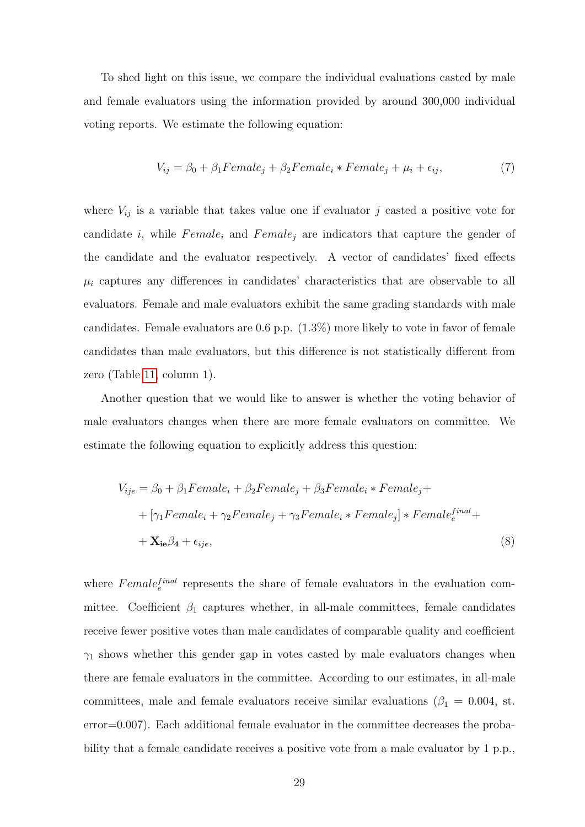To shed light on this issue, we compare the individual evaluations casted by male and female evaluators using the information provided by around 300,000 individual voting reports. We estimate the following equation:

$$
V_{ij} = \beta_0 + \beta_1 Female_j + \beta_2 Female_i * Female_j + \mu_i + \epsilon_{ij},\tag{7}
$$

where  $V_{ij}$  is a variable that takes value one if evaluator j casted a positive vote for candidate i, while  $Female_i$  and  $Female_j$  are indicators that capture the gender of the candidate and the evaluator respectively. A vector of candidates' fixed effects  $\mu_i$  captures any differences in candidates' characteristics that are observable to all evaluators. Female and male evaluators exhibit the same grading standards with male candidates. Female evaluators are  $0.6$  p.p.  $(1.3\%)$  more likely to vote in favor of female candidates than male evaluators, but this difference is not statistically different from zero (Table [11,](#page-42-1) column 1).

Another question that we would like to answer is whether the voting behavior of male evaluators changes when there are more female evaluators on committee. We estimate the following equation to explicitly address this question:

$$
V_{ije} = \beta_0 + \beta_1 Female_i + \beta_2 Female_j + \beta_3 Female_i * Female_j +
$$
  
+ 
$$
[\gamma_1 Female_i + \gamma_2 Female_j + \gamma_3 Female_i * Female_j] * Female_i^{final} +
$$
  
+ 
$$
\mathbf{X}_{ie}\beta_4 + \epsilon_{ije},
$$
 (8)

where  $Female<sub>e</sub><sup>final</sup>$  represents the share of female evaluators in the evaluation committee. Coefficient  $\beta_1$  captures whether, in all-male committees, female candidates receive fewer positive votes than male candidates of comparable quality and coefficient  $\gamma_1$  shows whether this gender gap in votes casted by male evaluators changes when there are female evaluators in the committee. According to our estimates, in all-male committees, male and female evaluators receive similar evaluations ( $\beta_1 = 0.004$ , st. error=0.007). Each additional female evaluator in the committee decreases the probability that a female candidate receives a positive vote from a male evaluator by 1 p.p.,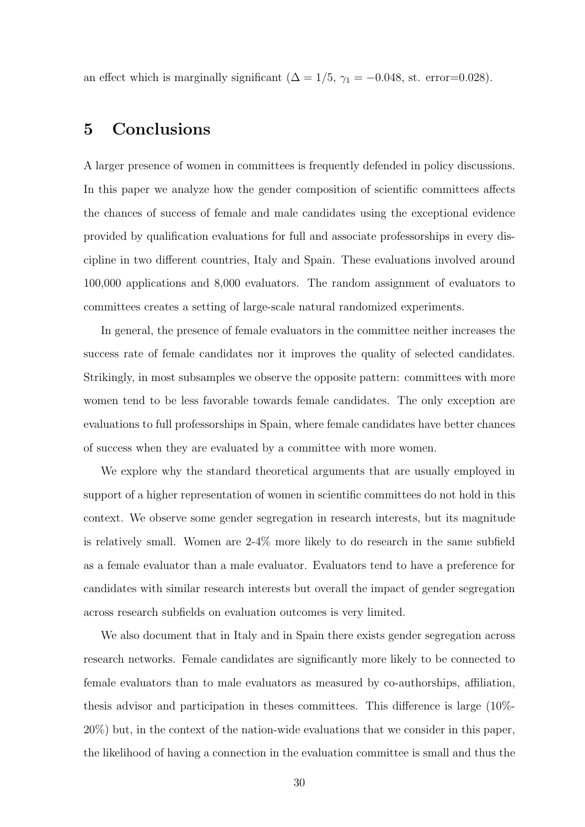an effect which is marginally significant ( $\Delta = 1/5$ ,  $\gamma_1 = -0.048$ , st. error=0.028).

# 5 Conclusions

A larger presence of women in committees is frequently defended in policy discussions. In this paper we analyze how the gender composition of scientific committees affects the chances of success of female and male candidates using the exceptional evidence provided by qualification evaluations for full and associate professorships in every discipline in two different countries, Italy and Spain. These evaluations involved around 100,000 applications and 8,000 evaluators. The random assignment of evaluators to committees creates a setting of large-scale natural randomized experiments.

In general, the presence of female evaluators in the committee neither increases the success rate of female candidates nor it improves the quality of selected candidates. Strikingly, in most subsamples we observe the opposite pattern: committees with more women tend to be less favorable towards female candidates. The only exception are evaluations to full professorships in Spain, where female candidates have better chances of success when they are evaluated by a committee with more women.

We explore why the standard theoretical arguments that are usually employed in support of a higher representation of women in scientific committees do not hold in this context. We observe some gender segregation in research interests, but its magnitude is relatively small. Women are 2-4% more likely to do research in the same subfield as a female evaluator than a male evaluator. Evaluators tend to have a preference for candidates with similar research interests but overall the impact of gender segregation across research subfields on evaluation outcomes is very limited.

We also document that in Italy and in Spain there exists gender segregation across research networks. Female candidates are significantly more likely to be connected to female evaluators than to male evaluators as measured by co-authorships, affiliation, thesis advisor and participation in theses committees. This difference is large (10%- 20%) but, in the context of the nation-wide evaluations that we consider in this paper, the likelihood of having a connection in the evaluation committee is small and thus the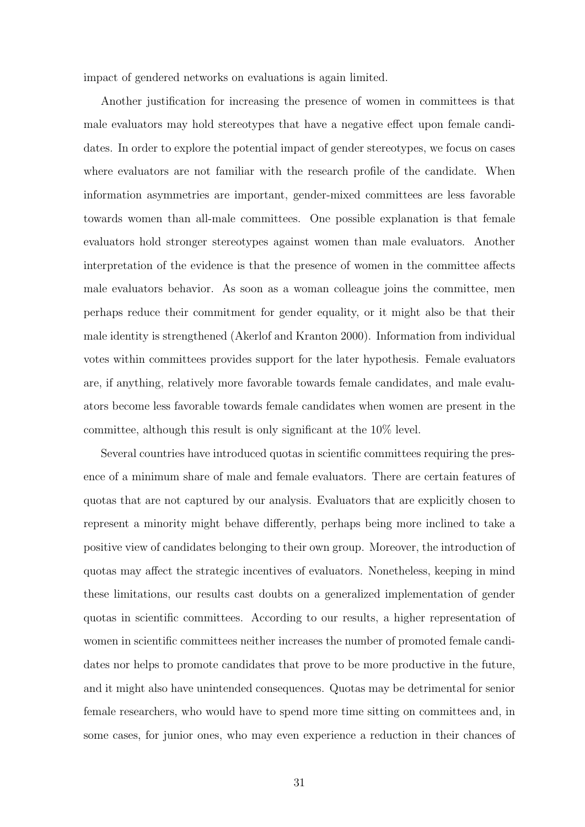impact of gendered networks on evaluations is again limited.

Another justification for increasing the presence of women in committees is that male evaluators may hold stereotypes that have a negative effect upon female candidates. In order to explore the potential impact of gender stereotypes, we focus on cases where evaluators are not familiar with the research profile of the candidate. When information asymmetries are important, gender-mixed committees are less favorable towards women than all-male committees. One possible explanation is that female evaluators hold stronger stereotypes against women than male evaluators. Another interpretation of the evidence is that the presence of women in the committee affects male evaluators behavior. As soon as a woman colleague joins the committee, men perhaps reduce their commitment for gender equality, or it might also be that their male identity is strengthened (Akerlof and Kranton 2000). Information from individual votes within committees provides support for the later hypothesis. Female evaluators are, if anything, relatively more favorable towards female candidates, and male evaluators become less favorable towards female candidates when women are present in the committee, although this result is only significant at the 10% level.

Several countries have introduced quotas in scientific committees requiring the presence of a minimum share of male and female evaluators. There are certain features of quotas that are not captured by our analysis. Evaluators that are explicitly chosen to represent a minority might behave differently, perhaps being more inclined to take a positive view of candidates belonging to their own group. Moreover, the introduction of quotas may affect the strategic incentives of evaluators. Nonetheless, keeping in mind these limitations, our results cast doubts on a generalized implementation of gender quotas in scientific committees. According to our results, a higher representation of women in scientific committees neither increases the number of promoted female candidates nor helps to promote candidates that prove to be more productive in the future, and it might also have unintended consequences. Quotas may be detrimental for senior female researchers, who would have to spend more time sitting on committees and, in some cases, for junior ones, who may even experience a reduction in their chances of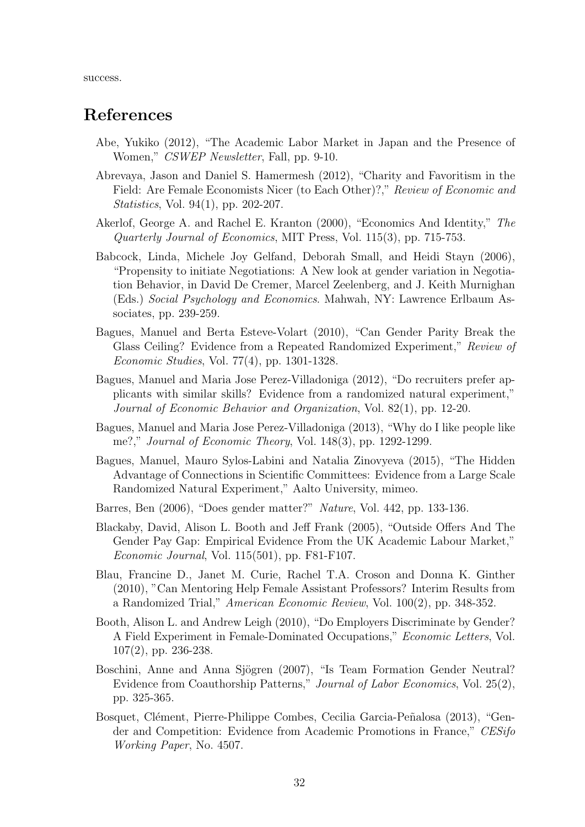success.

## References

- Abe, Yukiko (2012), "The Academic Labor Market in Japan and the Presence of Women," CSWEP Newsletter, Fall, pp. 9-10.
- Abrevaya, Jason and Daniel S. Hamermesh (2012), "Charity and Favoritism in the Field: Are Female Economists Nicer (to Each Other)?," Review of Economic and Statistics, Vol. 94(1), pp. 202-207.
- Akerlof, George A. and Rachel E. Kranton (2000), "Economics And Identity," The Quarterly Journal of Economics, MIT Press, Vol. 115(3), pp. 715-753.
- Babcock, Linda, Michele Joy Gelfand, Deborah Small, and Heidi Stayn (2006), "Propensity to initiate Negotiations: A New look at gender variation in Negotiation Behavior, in David De Cremer, Marcel Zeelenberg, and J. Keith Murnighan (Eds.) Social Psychology and Economics. Mahwah, NY: Lawrence Erlbaum Associates, pp. 239-259.
- Bagues, Manuel and Berta Esteve-Volart (2010), "Can Gender Parity Break the Glass Ceiling? Evidence from a Repeated Randomized Experiment," Review of Economic Studies, Vol. 77(4), pp. 1301-1328.
- Bagues, Manuel and Maria Jose Perez-Villadoniga (2012), "Do recruiters prefer applicants with similar skills? Evidence from a randomized natural experiment," Journal of Economic Behavior and Organization, Vol. 82(1), pp. 12-20.
- Bagues, Manuel and Maria Jose Perez-Villadoniga (2013), "Why do I like people like me?," Journal of Economic Theory, Vol. 148(3), pp. 1292-1299.
- Bagues, Manuel, Mauro Sylos-Labini and Natalia Zinovyeva (2015), "The Hidden Advantage of Connections in Scientific Committees: Evidence from a Large Scale Randomized Natural Experiment," Aalto University, mimeo.
- Barres, Ben (2006), "Does gender matter?" Nature, Vol. 442, pp. 133-136.
- Blackaby, David, Alison L. Booth and Jeff Frank (2005), "Outside Offers And The Gender Pay Gap: Empirical Evidence From the UK Academic Labour Market," Economic Journal, Vol. 115(501), pp. F81-F107.
- Blau, Francine D., Janet M. Curie, Rachel T.A. Croson and Donna K. Ginther (2010), "Can Mentoring Help Female Assistant Professors? Interim Results from a Randomized Trial," American Economic Review, Vol. 100(2), pp. 348-352.
- Booth, Alison L. and Andrew Leigh (2010), "Do Employers Discriminate by Gender? A Field Experiment in Female-Dominated Occupations," Economic Letters, Vol. 107(2), pp. 236-238.
- Boschini, Anne and Anna Sjögren (2007), "Is Team Formation Gender Neutral? Evidence from Coauthorship Patterns," Journal of Labor Economics, Vol. 25(2), pp. 325-365.
- Bosquet, Clément, Pierre-Philippe Combes, Cecilia Garcia-Peñalosa (2013), "Gender and Competition: Evidence from Academic Promotions in France," CESifo Working Paper, No. 4507.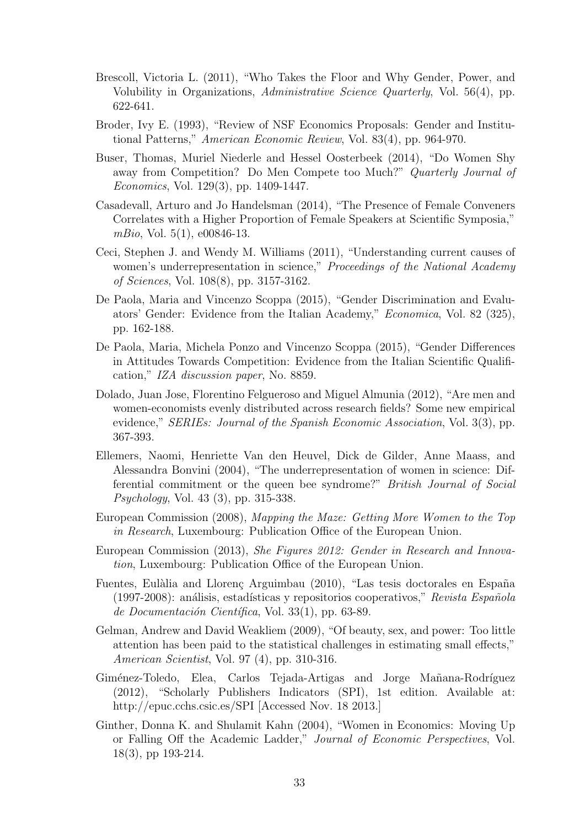- Brescoll, Victoria L. (2011), "Who Takes the Floor and Why Gender, Power, and Volubility in Organizations, Administrative Science Quarterly, Vol. 56(4), pp. 622-641.
- Broder, Ivy E. (1993), "Review of NSF Economics Proposals: Gender and Institutional Patterns," American Economic Review, Vol. 83(4), pp. 964-970.
- Buser, Thomas, Muriel Niederle and Hessel Oosterbeek (2014), "Do Women Shy away from Competition? Do Men Compete too Much?" Quarterly Journal of Economics, Vol. 129(3), pp. 1409-1447.
- Casadevall, Arturo and Jo Handelsman (2014), "The Presence of Female Conveners Correlates with a Higher Proportion of Female Speakers at Scientific Symposia," mBio, Vol. 5(1), e00846-13.
- Ceci, Stephen J. and Wendy M. Williams (2011), "Understanding current causes of women's underrepresentation in science," Proceedings of the National Academy of Sciences, Vol. 108(8), pp. 3157-3162.
- De Paola, Maria and Vincenzo Scoppa (2015), "Gender Discrimination and Evaluators' Gender: Evidence from the Italian Academy," Economica, Vol. 82 (325), pp. 162-188.
- De Paola, Maria, Michela Ponzo and Vincenzo Scoppa (2015), "Gender Differences in Attitudes Towards Competition: Evidence from the Italian Scientific Qualification," IZA discussion paper, No. 8859.
- Dolado, Juan Jose, Florentino Felgueroso and Miguel Almunia (2012), "Are men and women-economists evenly distributed across research fields? Some new empirical evidence," *SERIEs: Journal of the Spanish Economic Association*, Vol. 3(3), pp. 367-393.
- Ellemers, Naomi, Henriette Van den Heuvel, Dick de Gilder, Anne Maass, and Alessandra Bonvini (2004), "The underrepresentation of women in science: Differential commitment or the queen bee syndrome?" British Journal of Social Psychology, Vol. 43 (3), pp. 315-338.
- European Commission (2008), Mapping the Maze: Getting More Women to the Top in Research, Luxembourg: Publication Office of the European Union.
- European Commission (2013), She Figures 2012: Gender in Research and Innovation, Luxembourg: Publication Office of the European Union.
- Fuentes, Eulàlia and Llorenç Arguimbau (2010), "Las tesis doctorales en España  $(1997-2008)$ : análisis, estadísticas y repositorios cooperativos," Revista Española de Documentación Científica, Vol. 33(1), pp. 63-89.
- Gelman, Andrew and David Weakliem (2009), "Of beauty, sex, and power: Too little attention has been paid to the statistical challenges in estimating small effects," American Scientist, Vol. 97 (4), pp. 310-316.
- Giménez-Toledo, Elea, Carlos Tejada-Artigas and Jorge Mañana-Rodríguez (2012), "Scholarly Publishers Indicators (SPI), 1st edition. Available at: http://epuc.cchs.csic.es/SPI [Accessed Nov. 18 2013.]
- Ginther, Donna K. and Shulamit Kahn (2004), "Women in Economics: Moving Up or Falling Off the Academic Ladder," Journal of Economic Perspectives, Vol. 18(3), pp 193-214.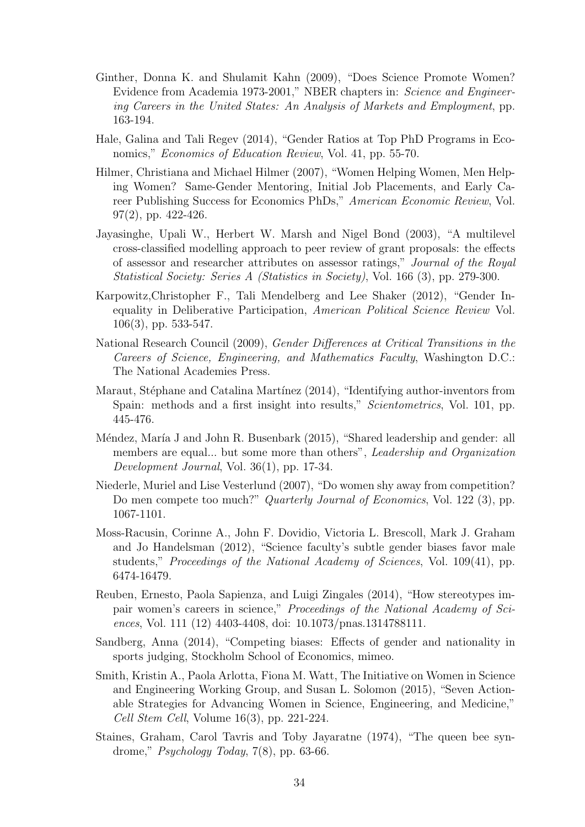- Ginther, Donna K. and Shulamit Kahn (2009), "Does Science Promote Women? Evidence from Academia 1973-2001," NBER chapters in: Science and Engineering Careers in the United States: An Analysis of Markets and Employment, pp. 163-194.
- Hale, Galina and Tali Regev (2014), "Gender Ratios at Top PhD Programs in Economics," *Economics of Education Review*, Vol. 41, pp. 55-70.
- Hilmer, Christiana and Michael Hilmer (2007), "Women Helping Women, Men Helping Women? Same-Gender Mentoring, Initial Job Placements, and Early Career Publishing Success for Economics PhDs," American Economic Review, Vol. 97(2), pp. 422-426.
- Jayasinghe, Upali W., Herbert W. Marsh and Nigel Bond (2003), "A multilevel cross-classified modelling approach to peer review of grant proposals: the effects of assessor and researcher attributes on assessor ratings," Journal of the Royal Statistical Society: Series A (Statistics in Society), Vol. 166 (3), pp. 279-300.
- Karpowitz,Christopher F., Tali Mendelberg and Lee Shaker (2012), "Gender Inequality in Deliberative Participation, American Political Science Review Vol. 106(3), pp. 533-547.
- National Research Council (2009), Gender Differences at Critical Transitions in the Careers of Science, Engineering, and Mathematics Faculty, Washington D.C.: The National Academies Press.
- Maraut, Stéphane and Catalina Martínez (2014), "Identifying author-inventors from Spain: methods and a first insight into results," *Scientometrics*, Vol. 101, pp. 445-476.
- Méndez, María J and John R. Busenbark (2015), "Shared leadership and gender: all members are equal... but some more than others", *Leadership and Organization* Development Journal, Vol. 36(1), pp. 17-34.
- Niederle, Muriel and Lise Vesterlund (2007), "Do women shy away from competition? Do men compete too much?" *Quarterly Journal of Economics*, Vol. 122 (3), pp. 1067-1101.
- Moss-Racusin, Corinne A., John F. Dovidio, Victoria L. Brescoll, Mark J. Graham and Jo Handelsman (2012), "Science faculty's subtle gender biases favor male students," Proceedings of the National Academy of Sciences, Vol. 109(41), pp. 6474-16479.
- Reuben, Ernesto, Paola Sapienza, and Luigi Zingales (2014), "How stereotypes impair women's careers in science," Proceedings of the National Academy of Sciences, Vol. 111 (12) 4403-4408, doi: 10.1073/pnas.1314788111.
- Sandberg, Anna (2014), "Competing biases: Effects of gender and nationality in sports judging, Stockholm School of Economics, mimeo.
- Smith, Kristin A., Paola Arlotta, Fiona M. Watt, The Initiative on Women in Science and Engineering Working Group, and Susan L. Solomon (2015), "Seven Actionable Strategies for Advancing Women in Science, Engineering, and Medicine," Cell Stem Cell, Volume 16(3), pp. 221-224.
- Staines, Graham, Carol Tavris and Toby Jayaratne (1974), "The queen bee syndrome,"  $Psychology Today, 7(8)$ , pp. 63-66.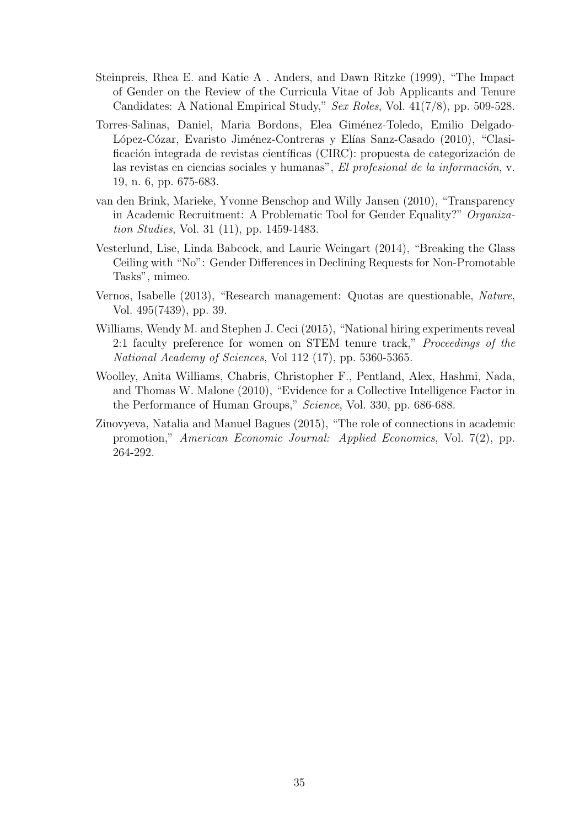- Steinpreis, Rhea E. and Katie A . Anders, and Dawn Ritzke (1999), "The Impact of Gender on the Review of the Curricula Vitae of Job Applicants and Tenure Candidates: A National Empirical Study," Sex Roles, Vol. 41(7/8), pp. 509-528.
- Torres-Salinas, Daniel, Maria Bordons, Elea Giménez-Toledo, Emilio Delgado-López-Cózar, Evaristo Jiménez-Contreras y Elías Sanz-Casado (2010), "Clasificación integrada de revistas científicas (CIRC): propuesta de categorización de las revistas en ciencias sociales y humanas", El profesional de la información, v. 19, n. 6, pp. 675-683.
- van den Brink, Marieke, Yvonne Benschop and Willy Jansen (2010), "Transparency in Academic Recruitment: A Problematic Tool for Gender Equality?" Organization Studies, Vol. 31 (11), pp. 1459-1483.
- Vesterlund, Lise, Linda Babcock, and Laurie Weingart (2014), "Breaking the Glass Ceiling with "No": Gender Differences in Declining Requests for Non-Promotable Tasks", mimeo.
- Vernos, Isabelle (2013), "Research management: Quotas are questionable, Nature, Vol. 495(7439), pp. 39.
- Williams, Wendy M. and Stephen J. Ceci (2015), "National hiring experiments reveal 2:1 faculty preference for women on STEM tenure track," Proceedings of the National Academy of Sciences, Vol 112 (17), pp. 5360-5365.
- Woolley, Anita Williams, Chabris, Christopher F., Pentland, Alex, Hashmi, Nada, and Thomas W. Malone (2010), "Evidence for a Collective Intelligence Factor in the Performance of Human Groups," Science, Vol. 330, pp. 686-688.
- Zinovyeva, Natalia and Manuel Bagues (2015), "The role of connections in academic promotion," American Economic Journal: Applied Economics, Vol. 7(2), pp. 264-292.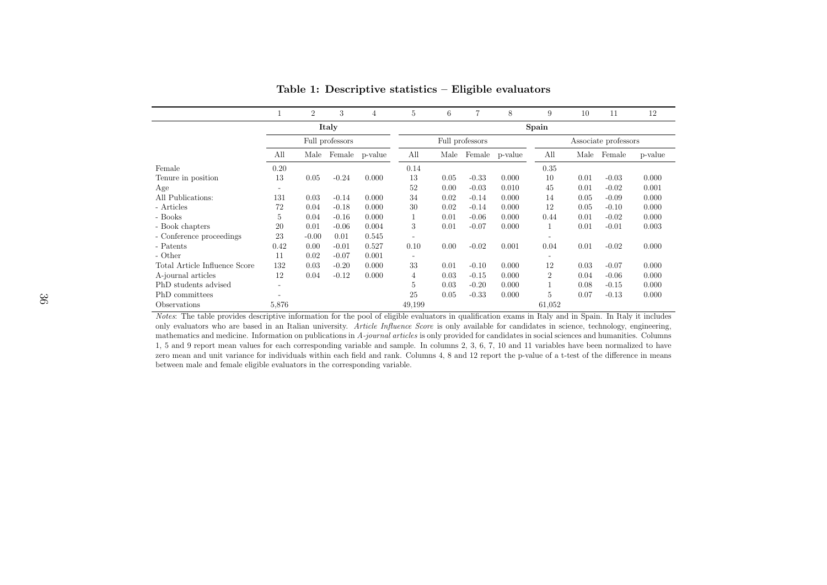|                               |                          | $\overline{2}$ | 3               | 4       | 5                        | 6    | 7               | 8              | 9              | 10   | 11                   | 12      |
|-------------------------------|--------------------------|----------------|-----------------|---------|--------------------------|------|-----------------|----------------|----------------|------|----------------------|---------|
|                               |                          | Italy          |                 |         | Spain                    |      |                 |                |                |      |                      |         |
|                               |                          |                | Full professors |         |                          |      | Full professors |                |                |      | Associate professors |         |
|                               | All                      | Male           | Female          | p-value | All                      | Male |                 | Female p-value | All            | Male | Female               | p-value |
| Female                        | 0.20                     |                |                 |         | 0.14                     |      |                 |                | 0.35           |      |                      |         |
| Tenure in position            | 13                       | 0.05           | $-0.24$         | 0.000   | 13                       | 0.05 | $-0.33$         | 0.000          | 10             | 0.01 | $-0.03$              | 0.000   |
| Age                           | $\overline{\phantom{a}}$ |                |                 |         | 52                       | 0.00 | $-0.03$         | 0.010          | 45             | 0.01 | $-0.02$              | 0.001   |
| All Publications:             | 131                      | 0.03           | $-0.14$         | 0.000   | 34                       | 0.02 | $-0.14$         | 0.000          | 14             | 0.05 | $-0.09$              | 0.000   |
| - Articles                    | 72                       | 0.04           | $-0.18$         | 0.000   | 30                       | 0.02 | $-0.14$         | 0.000          | 12             | 0.05 | $-0.10$              | 0.000   |
| - Books                       | 5                        | 0.04           | $-0.16$         | 0.000   |                          | 0.01 | $-0.06$         | 0.000          | 0.44           | 0.01 | $-0.02$              | 0.000   |
| - Book chapters               | 20                       | 0.01           | $-0.06$         | 0.004   | 3                        | 0.01 | $-0.07$         | 0.000          |                | 0.01 | $-0.01$              | 0.003   |
| - Conference proceedings      | 23                       | $-0.00$        | 0.01            | 0.545   | ۰                        |      |                 |                |                |      |                      |         |
| - Patents                     | 0.42                     | 0.00           | $-0.01$         | 0.527   | 0.10                     | 0.00 | $-0.02$         | 0.001          | 0.04           | 0.01 | $-0.02$              | 0.000   |
| - Other                       | 11                       | 0.02           | $-0.07$         | 0.001   | $\overline{\phantom{a}}$ |      |                 |                |                |      |                      |         |
| Total Article Influence Score | 132                      | 0.03           | $-0.20$         | 0.000   | 33                       | 0.01 | $-0.10$         | 0.000          | 12             | 0.03 | $-0.07$              | 0.000   |
| A-journal articles            | 12                       | 0.04           | $-0.12$         | 0.000   | $\overline{4}$           | 0.03 | $-0.15$         | 0.000          | $\overline{2}$ | 0.04 | $-0.06$              | 0.000   |
| PhD students advised          | $\overline{\phantom{0}}$ |                |                 |         | 5                        | 0.03 | $-0.20$         | 0.000          |                | 0.08 | $-0.15$              | 0.000   |
| PhD committees                |                          |                |                 |         | 25                       | 0.05 | $-0.33$         | 0.000          | 5              | 0.07 | $-0.13$              | 0.000   |
| Observations                  | 5,876                    |                |                 |         | 49,199                   |      |                 |                | 61,052         |      |                      |         |

Table 1: Descriptive statistics – Eligible evaluators

<span id="page-37-0"></span> Notes: The table provides descriptive information for the pool of eligible evaluators in qualification exams in Italy and in Spain. In Italy it includesonly evaluators who are based in an Italian university. Article Influence Score is only available for candidates in science, technology, engineering, mathematics and medicine. Information on publications in A-journal articles is only provided for candidates in social sciences and humanities. Columns 1, 5 and 9 report mean values for each corresponding variable and sample. In columns 2, 3, 6, 7, 10 and 11 variables have been normalized to have zero mean and unit variance for individuals within each field and rank. Columns 4, 8 and 12 report the p-value of <sup>a</sup> t-test of the difference in meansbetween male and female eligible evaluators in the corresponding variable.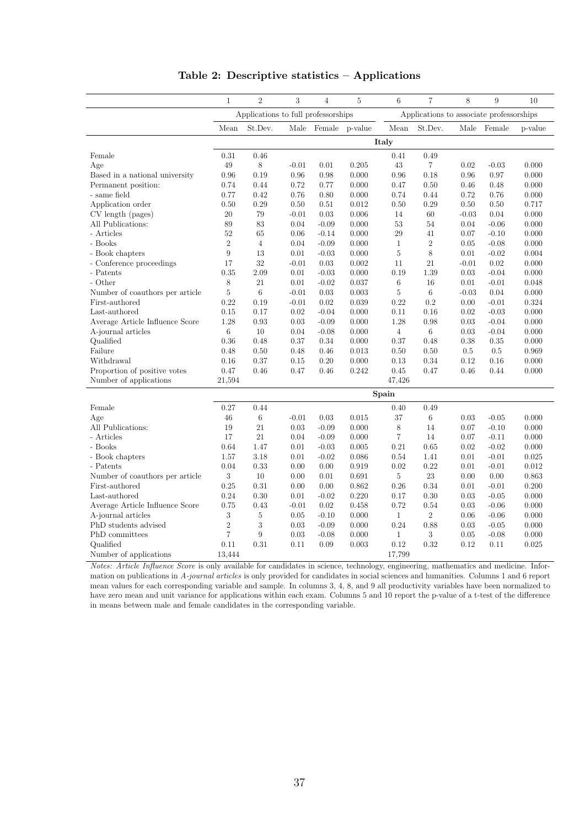<span id="page-38-0"></span>

|                                 | $\mathbf{1}$   | $\overline{2}$                      | 3       | $\overline{4}$ | $\overline{5}$ | 6              | $\overline{7}$                           | 8       | 9       | 10      |
|---------------------------------|----------------|-------------------------------------|---------|----------------|----------------|----------------|------------------------------------------|---------|---------|---------|
|                                 |                | Applications to full professorships |         |                |                |                | Applications to associate professorships |         |         |         |
|                                 | Mean           | St.Dev.                             | Male    | Female         | p-value        | Mean           | St.Dev.                                  | Male    | Female  | p-value |
|                                 |                |                                     |         |                |                | Italy          |                                          |         |         |         |
| Female                          | 0.31           | 0.46                                |         |                |                | 0.41           | 0.49                                     |         |         |         |
| Age                             | 49             | 8                                   | $-0.01$ | 0.01           | 0.205          | 43             | $\overline{7}$                           | 0.02    | $-0.03$ | 0.000   |
| Based in a national university  | 0.96           | 0.19                                | 0.96    | 0.98           | 0.000          | 0.96           | 0.18                                     | 0.96    | 0.97    | 0.000   |
| Permanent position:             | 0.74           | 0.44                                | 0.72    | 0.77           | 0.000          | 0.47           | 0.50                                     | 0.46    | 0.48    | 0.000   |
| - same field                    | 0.77           | 0.42                                | 0.76    | 0.80           | 0.000          | 0.74           | 0.44                                     | 0.72    | 0.76    | 0.000   |
| Application order               | 0.50           | 0.29                                | 0.50    | 0.51           | $\rm 0.012$    | 0.50           | 0.29                                     | 0.50    | 0.50    | 0.717   |
| CV length (pages)               | 20             | 79                                  | $-0.01$ | 0.03           | 0.006          | 14             | 60                                       | $-0.03$ | 0.04    | 0.000   |
| All Publications:               | 89             | 83                                  | 0.04    | $-0.09$        | 0.000          | 53             | 54                                       | 0.04    | $-0.06$ | 0.000   |
| - Articles                      | 52             | 65                                  | 0.06    | $-0.14$        | 0.000          | 29             | 41                                       | 0.07    | $-0.10$ | 0.000   |
| - Books                         | $\overline{2}$ | $\overline{4}$                      | 0.04    | $-0.09$        | 0.000          | $\mathbf{1}$   | $\overline{2}$                           | 0.05    | $-0.08$ | 0.000   |
| - Book chapters                 | 9              | 13                                  | 0.01    | $-0.03$        | 0.000          | $\overline{5}$ | 8                                        | 0.01    | $-0.02$ | 0.004   |
| - Conference proceedings        | 17             | 32                                  | $-0.01$ | 0.03           | 0.002          | 11             | 21                                       | $-0.01$ | 0.02    | 0.000   |
| - Patents                       | 0.35           | 2.09                                | 0.01    | $-0.03$        | 0.000          | 0.19           | 1.39                                     | 0.03    | $-0.04$ | 0.000   |
| - Other                         | 8              | 21                                  | 0.01    | $-0.02$        | 0.037          | 6              | 16                                       | 0.01    | $-0.01$ | 0.048   |
| Number of coauthors per article | $\overline{5}$ | 6                                   | $-0.01$ | 0.03           | 0.003          | 5              | 6                                        | $-0.03$ | 0.04    | 0.000   |
| First-authored                  | 0.22           | 0.19                                | $-0.01$ | 0.02           | 0.039          | 0.22           | 0.2                                      | 0.00    | $-0.01$ | 0.324   |
| Last-authored                   | 0.15           | 0.17                                | 0.02    | $-0.04$        | 0.000          | 0.11           | 0.16                                     | 0.02    | $-0.03$ | 0.000   |
| Average Article Influence Score | 1.28           | 0.93                                | 0.03    | $-0.09$        | 0.000          | 1.28           | 0.98                                     | 0.03    | $-0.04$ | 0.000   |
| A-journal articles              | 6              | 10                                  | 0.04    | $-0.08$        | 0.000          | $\overline{4}$ | 6                                        | 0.03    | $-0.04$ | 0.000   |
| Qualified                       | 0.36           | 0.48                                | 0.37    | 0.34           | 0.000          | 0.37           | 0.48                                     | 0.38    | 0.35    | 0.000   |
| Failure                         | 0.48           | 0.50                                | 0.48    | 0.46           | 0.013          | 0.50           | 0.50                                     | 0.5     | 0.5     | 0.969   |
| Withdrawal                      | 0.16           | 0.37                                | 0.15    | 0.20           | 0.000          | 0.13           | 0.34                                     | 0.12    | 0.16    | 0.000   |
| Proportion of positive votes    | 0.47           | 0.46                                | 0.47    | 0.46           | 0.242          | 0.45           | 0.47                                     | 0.46    | 0.44    | 0.000   |
| Number of applications          | 21,594         |                                     |         |                |                | 47,426         |                                          |         |         |         |
|                                 |                |                                     |         |                |                | Spain          |                                          |         |         |         |
| Female                          | 0.27           | 0.44                                |         |                |                | 0.40           | 0.49                                     |         |         |         |
| Age                             | 46             | 6                                   | $-0.01$ | 0.03           | 0.015          | 37             | 6                                        | 0.03    | $-0.05$ | 0.000   |
| All Publications:               | 19             | 21                                  | 0.03    | $-0.09$        | 0.000          | 8              | 14                                       | 0.07    | $-0.10$ | 0.000   |
| - Articles                      | 17             | 21                                  | 0.04    | $-0.09$        | 0.000          | $\overline{7}$ | 14                                       | 0.07    | $-0.11$ | 0.000   |
| - Books                         | 0.64           | 1.47                                | 0.01    | $-0.03$        | 0.005          | 0.21           | 0.65                                     | 0.02    | $-0.02$ | 0.000   |
| - Book chapters                 | 1.57           | 3.18                                | 0.01    | $-0.02$        | 0.086          | 0.54           | 1.41                                     | 0.01    | $-0.01$ | 0.025   |
| - Patents                       | 0.04           | 0.33                                | 0.00    | 0.00           | 0.919          | 0.02           | 0.22                                     | 0.01    | $-0.01$ | 0.012   |
| Number of coauthors per article | 3              | 10                                  | 0.00    | 0.01           | 0.691          | 5              | 23                                       | 0.00    | 0.00    | 0.863   |
| First-authored                  | 0.25           | 0.31                                | 0.00    | 0.00           | 0.862          | 0.26           | 0.34                                     | 0.01    | $-0.01$ | 0.200   |
| Last-authored                   | 0.24           | 0.30                                | 0.01    | $-0.02$        | 0.220          | 0.17           | 0.30                                     | 0.03    | $-0.05$ | 0.000   |
| Average Article Influence Score | 0.75           | 0.43                                | $-0.01$ | 0.02           | 0.458          | 0.72           | 0.54                                     | 0.03    | $-0.06$ | 0.000   |
| A-journal articles              | 3              | 5                                   | 0.05    | $-0.10$        | 0.000          | $\mathbf{1}$   | $\overline{2}$                           | 0.06    | $-0.06$ | 0.000   |
| PhD students advised            | $\overline{2}$ | 3                                   | 0.03    | $-0.09$        | 0.000          | 0.24           | 0.88                                     | 0.03    | $-0.05$ | 0.000   |
| PhD committees                  | $\overline{7}$ | 9                                   | 0.03    | $-0.08$        | 0.000          | 1              | 3                                        | 0.05    | $-0.08$ | 0.000   |
| Qualified                       | 0.11           | 0.31                                | 0.11    | 0.09           | 0.003          | 0.12           | 0.32                                     | 0.12    | 0.11    | 0.025   |
| Number of applications          | 13,444         |                                     |         |                |                | 17,799         |                                          |         |         |         |

Table 2: Descriptive statistics – Applications

Notes: Article Influence Score is only available for candidates in science, technology, engineering, mathematics and medicine. Information on publications in A-journal articles is only provided for candidates in social sciences and humanities. Columns 1 and 6 report mean values for each corresponding variable and sample. In columns 3, 4, 8, and 9 all productivity variables have been normalized to have zero mean and unit variance for applications within each exam. Columns 5 and 10 report the p-value of a t-test of the difference in means between male and female candidates in the corresponding variable.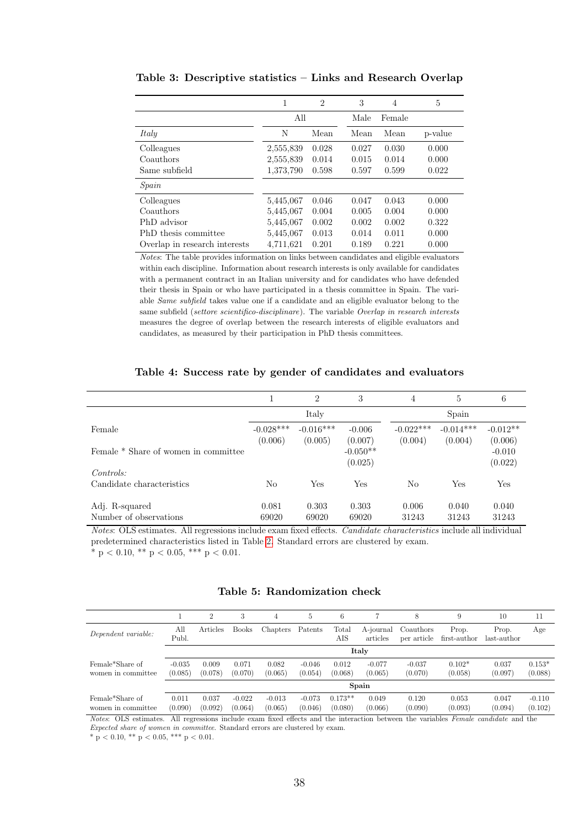|                               |           | $\overline{2}$ | 3     | 4      | 5       |
|-------------------------------|-----------|----------------|-------|--------|---------|
|                               | All       |                | Male  | Female |         |
| Italy                         | N         | Mean           | Mean  | Mean   | p-value |
| Colleagues                    | 2,555,839 | 0.028          | 0.027 | 0.030  | 0.000   |
| Coauthors                     | 2,555,839 | 0.014          | 0.015 | 0.014  | 0.000   |
| Same subfield                 | 1,373,790 | 0.598          | 0.597 | 0.599  | 0.022   |
| Spain                         |           |                |       |        |         |
| Colleagues                    | 5,445,067 | 0.046          | 0.047 | 0.043  | 0.000   |
| Coauthors                     | 5,445,067 | 0.004          | 0.005 | 0.004  | 0.000   |
| PhD advisor                   | 5,445,067 | 0.002          | 0.002 | 0.002  | 0.322   |
| PhD thesis committee          | 5,445,067 | 0.013          | 0.014 | 0.011  | 0.000   |
| Overlap in research interests | 4,711,621 | 0.201          | 0.189 | 0.221  | 0.000   |

<span id="page-39-0"></span>Table 3: Descriptive statistics – Links and Research Overlap

Notes: The table provides information on links between candidates and eligible evaluators within each discipline. Information about research interests is only available for candidates with a permanent contract in an Italian university and for candidates who have defended their thesis in Spain or who have participated in a thesis committee in Spain. The variable Same subfield takes value one if a candidate and an eligible evaluator belong to the same subfield (settore scientifico-disciplinare). The variable Overlap in research interests measures the degree of overlap between the research interests of eligible evaluators and candidates, as measured by their participation in PhD thesis committees.

<span id="page-39-1"></span>

|                                      |                        | $\overline{2}$         | 3                     | 4                      | 5                      | 6                     |
|--------------------------------------|------------------------|------------------------|-----------------------|------------------------|------------------------|-----------------------|
|                                      |                        | Italy                  |                       |                        | Spain                  |                       |
| Female                               | $-0.028***$<br>(0.006) | $-0.016***$<br>(0.005) | $-0.006$<br>(0.007)   | $-0.022***$<br>(0.004) | $-0.014***$<br>(0.004) | $-0.012**$<br>(0.006) |
| Female * Share of women in committee |                        |                        | $-0.050**$<br>(0.025) |                        |                        | $-0.010$<br>(0.022)   |
| Controls:                            |                        |                        |                       |                        |                        |                       |
| Candidate characteristics            | No                     | Yes                    | Yes                   | No                     | Yes                    | Yes                   |
| Adj. R-squared                       | 0.081                  | 0.303                  | 0.303                 | 0.006                  | 0.040                  | 0.040                 |
| Number of observations               | 69020                  | 69020                  | 69020                 | 31243                  | 31243                  | 31243                 |

#### Table 4: Success rate by gender of candidates and evaluators

Notes: OLS estimates. All regressions include exam fixed effects. Candidate characteristics include all individual predetermined characteristics listed in Table [2.](#page-38-0) Standard errors are clustered by exam. \* p < 0.10, \*\* p < 0.05, \*\*\* p < 0.01.

|  | Table 5: Randomization check |  |
|--|------------------------------|--|

<span id="page-39-2"></span>

|                                       |                     | $\overline{2}$   | 3                   | 4                   | 5                   | 6                    |                       | 8                        | 9                     | 10                   |                     |
|---------------------------------------|---------------------|------------------|---------------------|---------------------|---------------------|----------------------|-----------------------|--------------------------|-----------------------|----------------------|---------------------|
| Dependent variable:                   | All<br>Publ         | Articles         | <b>Books</b>        | Chapters            | Patents             | Total<br>AIS         | A-journal<br>articles | Coauthors<br>per article | Prop.<br>first-author | Prop.<br>last-author | Age                 |
|                                       | Italy               |                  |                     |                     |                     |                      |                       |                          |                       |                      |                     |
| Female*Share of<br>women in committee | $-0.035$<br>(0.085) | 0.009<br>(0.078) | 0.071<br>(0.070)    | 0.082<br>(0.065)    | $-0.046$<br>(0.054) | 0.012<br>(0.068)     | $-0.077$<br>(0.065)   | $-0.037$<br>(0.070)      | $0.102*$<br>(0.058)   | 0.037<br>(0.097)     | $0.153*$<br>(0.088) |
|                                       |                     |                  |                     |                     |                     |                      | Spain                 |                          |                       |                      |                     |
| Female*Share of<br>women in committee | 0.011<br>(0.090)    | 0.037<br>(0.092) | $-0.022$<br>(0.064) | $-0.013$<br>(0.065) | $-0.073$<br>(0.046) | $0.173**$<br>(0.080) | 0.049<br>(0.066)      | 0.120<br>(0.090)         | 0.053<br>(0.093)      | 0.047<br>(0.094)     | $-0.110$<br>(0.102) |

Notes: OLS estimates. All regressions include exam fixed effects and the interaction between the variables Female candidate and the Expected share of women in committee. Standard errors are clustered by exam.

 $*$  p < 0.10,  $*$  p < 0.05,  $**$  p < 0.01.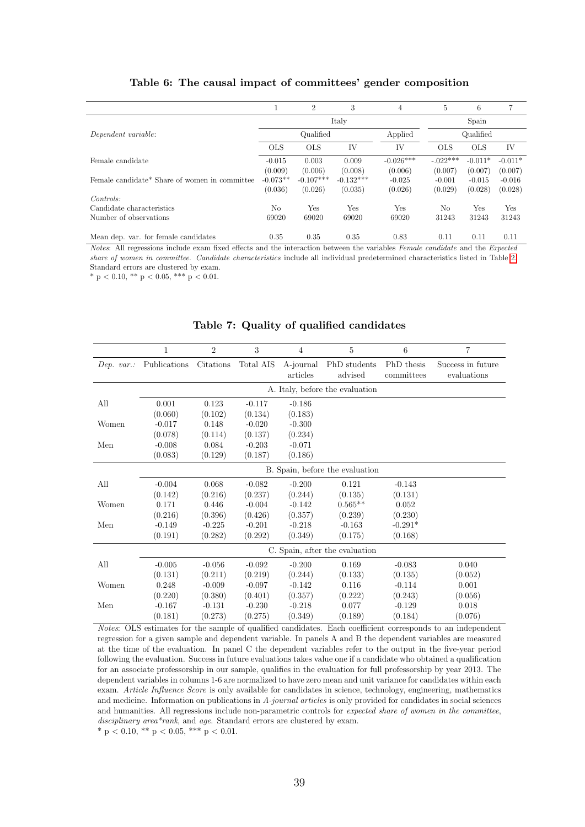<span id="page-40-0"></span>

|                                               | 1              | $\overline{2}$ | 3           | 4           | 5          | 6          |           |  |
|-----------------------------------------------|----------------|----------------|-------------|-------------|------------|------------|-----------|--|
|                                               | Italy          |                |             |             | Spain      |            |           |  |
| Dependent variable:                           |                | Qualified      |             | Applied     | Qualified  |            |           |  |
|                                               | <b>OLS</b>     | <b>OLS</b>     | IV          | IV          | <b>OLS</b> | <b>OLS</b> | IV        |  |
| Female candidate                              | $-0.015$       | 0.003          | 0.009       | $-0.026***$ | $-.022***$ | $-0.011*$  | $-0.011*$ |  |
|                                               | (0.009)        | (0.006)        | (0.008)     | (0.006)     | (0.007)    | (0.007)    | (0.007)   |  |
| Female candidate* Share of women in committee | $-0.073**$     | $-0.107***$    | $-0.132***$ | $-0.025$    | $-0.001$   | $-0.015$   | $-0.016$  |  |
|                                               | (0.036)        | (0.026)        | (0.035)     | (0.026)     | (0.029)    | (0.028)    | (0.028)   |  |
| Contents:                                     |                |                |             |             |            |            |           |  |
| Candidate characteristics                     | N <sub>o</sub> | Yes            | Yes         | Yes         | No         | Yes        | Yes       |  |
| Number of observations                        | 69020          | 69020          | 69020       | 69020       | 31243      | 31243      | 31243     |  |
| Mean dep. var. for female candidates          | 0.35           | 0.35           | 0.35        | 0.83        | 0.11       | 0.11       | 0.11      |  |

#### Table 6: The causal impact of committees' gender composition

Notes: All regressions include exam fixed effects and the interaction between the variables Female candidate and the Expected share of women in committee. Candidate characteristics include all individual predetermined characteristics listed in Table [2.](#page-38-0) Standard errors are clustered by exam.

\* p < 0.10, \*\* p < 0.05, \*\*\* p < 0.01.

<span id="page-40-1"></span>

|           | $\mathbf 1$                     | $\overline{2}$                  | 3         | $\overline{4}$ | 5                              | 6          | 7                 |  |  |  |  |  |
|-----------|---------------------------------|---------------------------------|-----------|----------------|--------------------------------|------------|-------------------|--|--|--|--|--|
| Dep. var. | Publications                    | Citations                       | Total AIS | A-journal      | PhD students                   | PhD thesis | Success in future |  |  |  |  |  |
|           |                                 |                                 |           | articles       | advised                        | committees | evaluations       |  |  |  |  |  |
|           | A. Italy, before the evaluation |                                 |           |                |                                |            |                   |  |  |  |  |  |
| All       | 0.001                           | 0.123                           | $-0.117$  | $-0.186$       |                                |            |                   |  |  |  |  |  |
|           | (0.060)                         | (0.102)                         | (0.134)   | (0.183)        |                                |            |                   |  |  |  |  |  |
| Women     | $-0.017$                        | 0.148                           | $-0.020$  | $-0.300$       |                                |            |                   |  |  |  |  |  |
|           | (0.078)                         | (0.114)                         | (0.137)   | (0.234)        |                                |            |                   |  |  |  |  |  |
| Men       | $-0.008$                        | 0.084                           | $-0.203$  | $-0.071$       |                                |            |                   |  |  |  |  |  |
|           | (0.083)                         | (0.129)                         | (0.187)   | (0.186)        |                                |            |                   |  |  |  |  |  |
|           |                                 | B. Spain, before the evaluation |           |                |                                |            |                   |  |  |  |  |  |
| All       | $-0.004$                        | 0.068                           | $-0.082$  | $-0.200$       | 0.121                          | $-0.143$   |                   |  |  |  |  |  |
|           | (0.142)                         | (0.216)                         | (0.237)   | (0.244)        | (0.135)                        | (0.131)    |                   |  |  |  |  |  |
| Women     | 0.171                           | 0.446                           | $-0.004$  | $-0.142$       | $0.565**$                      | 0.052      |                   |  |  |  |  |  |
|           | (0.216)                         | (0.396)                         | (0.426)   | (0.357)        | (0.239)                        | (0.230)    |                   |  |  |  |  |  |
| Men       | $-0.149$                        | $-0.225$                        | $-0.201$  | $-0.218$       | $-0.163$                       | $-0.291*$  |                   |  |  |  |  |  |
|           | (0.191)                         | (0.282)                         | (0.292)   | (0.349)        | (0.175)                        | (0.168)    |                   |  |  |  |  |  |
|           |                                 |                                 |           |                | C. Spain, after the evaluation |            |                   |  |  |  |  |  |
| All       | $-0.005$                        | $-0.056$                        | $-0.092$  | $-0.200$       | 0.169                          | $-0.083$   | 0.040             |  |  |  |  |  |
|           | (0.131)                         | (0.211)                         | (0.219)   | (0.244)        | (0.133)                        | (0.135)    | (0.052)           |  |  |  |  |  |
| Women     | 0.248                           | $-0.009$                        | $-0.097$  | $-0.142$       | 0.116                          | $-0.114$   | 0.001             |  |  |  |  |  |
|           | (0.220)                         | (0.380)                         | (0.401)   | (0.357)        | (0.222)                        | (0.243)    | (0.056)           |  |  |  |  |  |
| Men       | $-0.167$                        | $-0.131$                        | $-0.230$  | $-0.218$       | 0.077                          | $-0.129$   | 0.018             |  |  |  |  |  |
|           | (0.181)                         | (0.273)                         | (0.275)   | (0.349)        | (0.189)                        | (0.184)    | (0.076)           |  |  |  |  |  |

#### Table 7: Quality of qualified candidates

Notes: OLS estimates for the sample of qualified candidates. Each coefficient corresponds to an independent regression for a given sample and dependent variable. In panels A and B the dependent variables are measured at the time of the evaluation. In panel C the dependent variables refer to the output in the five-year period following the evaluation. Success in future evaluations takes value one if a candidate who obtained a qualification for an associate professorship in our sample, qualifies in the evaluation for full professorship by year 2013. The dependent variables in columns 1-6 are normalized to have zero mean and unit variance for candidates within each exam. Article Influence Score is only available for candidates in science, technology, engineering, mathematics and medicine. Information on publications in A-journal articles is only provided for candidates in social sciences and humanities. All regressions include non-parametric controls for expected share of women in the committee, disciplinary area\*rank, and age. Standard errors are clustered by exam. \* p < 0.10, \*\* p < 0.05, \*\*\* p < 0.01.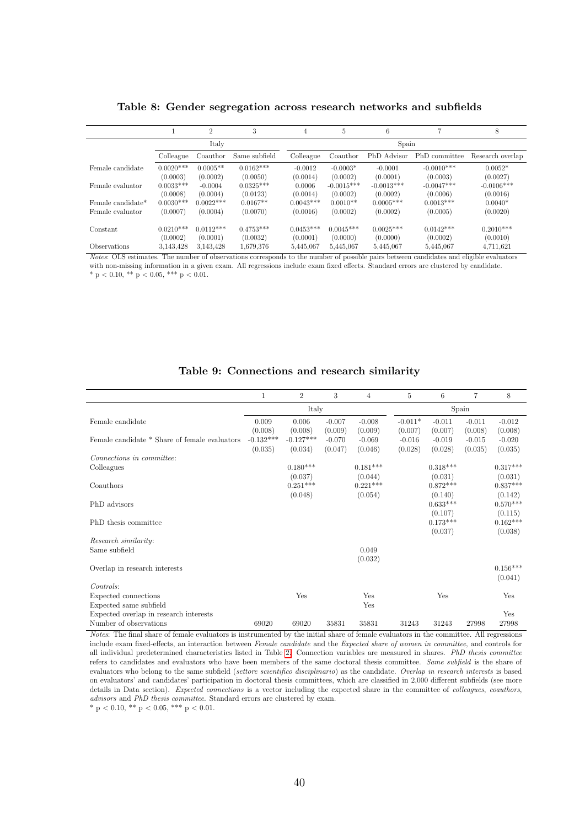<span id="page-41-0"></span>

|                            |                         | 2                       | 3                       | 4                       | 5                       | 6                       |                         | 8                       |  |  |  |
|----------------------------|-------------------------|-------------------------|-------------------------|-------------------------|-------------------------|-------------------------|-------------------------|-------------------------|--|--|--|
|                            | Italy                   |                         |                         |                         | Spain                   |                         |                         |                         |  |  |  |
|                            | Colleague               | Coauthor                | Same subfield           | Colleague               | Coauthor                | PhD Advisor             | PhD committee           | Research overlap        |  |  |  |
| Female candidate           | $0.0020***$             | $0.0005**$              | $0.0162***$             | $-0.0012$               | $-0.0003*$              | $-0.0001$               | $-0.0010***$            | $0.0052*$               |  |  |  |
|                            | (0.0003)                | (0.0002)                | (0.0050)                | (0.0014)                | (0.0002)                | (0.0001)                | (0.0003)                | (0.0027)                |  |  |  |
| Female evaluator           | $0.0033***$             | $-0.0004$               | $0.0325***$             | 0.0006                  | $-0.0015***$            | $-0.0013***$            | $-0.0047***$            | $-0.0106***$            |  |  |  |
|                            | (0.0008)                | (0.0004)                | (0.0123)                | (0.0014)                | (0.0002)                | (0.0002)                | (0.0006)                | (0.0016)                |  |  |  |
| Female candidate*          | $0.0030***$             | $0.0022***$             | $0.0167**$              | $0.0043***$             | $0.0010**$              | $0.0005***$             | $0.0013***$             | $0.0040*$               |  |  |  |
| Female evaluator           | (0.0007)                | (0.0004)                | (0.0070)                | (0.0016)                | (0.0002)                | (0.0002)                | (0.0005)                | (0.0020)                |  |  |  |
| Constant                   | $0.0210***$<br>(0.0002) | $0.0112***$<br>(0.0001) | $0.4753***$<br>(0.0032) | $0.0453***$<br>(0.0001) | $0.0045***$<br>(0.0000) | $0.0025***$<br>(0.0000) | $0.0142***$<br>(0.0002) | $0.2010***$<br>(0.0010) |  |  |  |
| <i><b>Observations</b></i> | 3,143,428               | 3.143.428               | 1,679,376               | 5,445,067               | 5,445,067               | 5,445,067               | 5,445,067               | 4,711,621               |  |  |  |

Table 8: Gender segregation across research networks and subfields

Notes: OLS estimates. The number of observations corresponds to the number of possible pairs between candidates and eligible evaluators with non-missing information in a given exam. All regressions include exam fixed effects. Standard errors are clustered by candidate. \* p < 0.10, \*\* p < 0.05, \*\*\* p < 0.01.

<span id="page-41-1"></span>

|                                               | $\mathbf{1}$ | $\overline{2}$ | 3        | $\overline{4}$ | 5         | 6                     | $\overline{7}$ | 8                     |
|-----------------------------------------------|--------------|----------------|----------|----------------|-----------|-----------------------|----------------|-----------------------|
|                                               |              | Italy          |          | Spain          |           |                       |                |                       |
| Female candidate                              | 0.009        | 0.006          | $-0.007$ | $-0.008$       | $-0.011*$ | $-0.011$              | $-0.011$       | $-0.012$              |
|                                               | (0.008)      | (0.008)        | (0.009)  | (0.009)        | (0.007)   | (0.007)               | (0.008)        | (0.008)               |
| Female candidate * Share of female evaluators | $-0.132***$  | $-0.127***$    | $-0.070$ | $-0.069$       | $-0.016$  | $-0.019$              | $-0.015$       | $-0.020$              |
| <i>Connections in committee:</i>              | (0.035)      | (0.034)        | (0.047)  | (0.046)        | (0.028)   | (0.028)               | (0.035)        | (0.035)               |
| Colleagues                                    |              | $0.180***$     |          | $0.181***$     |           | $0.318***$            |                | $0.317***$            |
|                                               |              | (0.037)        |          | (0.044)        |           | (0.031)               |                | (0.031)               |
| Coauthors                                     |              | $0.251***$     |          | $0.221***$     |           | $0.872***$            |                | $0.837***$            |
|                                               |              | (0.048)        |          | (0.054)        |           | (0.140)               |                | (0.142)               |
| PhD advisors                                  |              |                |          |                |           | $0.633***$            |                | $0.570***$            |
| PhD thesis committee                          |              |                |          |                |           | (0.107)<br>$0.173***$ |                | (0.115)<br>$0.162***$ |
|                                               |              |                |          |                |           | (0.037)               |                | (0.038)               |
| <i>Research similarity:</i>                   |              |                |          |                |           |                       |                |                       |
| Same subfield                                 |              |                |          | 0.049          |           |                       |                |                       |
|                                               |              |                |          | (0.032)        |           |                       |                |                       |
| Overlap in research interests                 |              |                |          |                |           |                       |                | $0.156***$            |
| Contents:                                     |              |                |          |                |           |                       |                | (0.041)               |
| Expected connections                          |              | Yes            |          | Yes            |           | Yes                   |                | Yes                   |
| Expected same subfield                        |              |                |          | Yes            |           |                       |                |                       |
| Expected overlap in research interests        |              |                |          |                |           |                       |                | Yes                   |
| Number of observations                        | 69020        | 69020          | 35831    | 35831          | 31243     | 31243                 | 27998          | 27998                 |

#### Table 9: Connections and research similarity

Notes: The final share of female evaluators is instrumented by the initial share of female evaluators in the committee. All regressions include exam fixed-effects, an interaction between Female candidate and the Expected share of women in committee, and controls for all individual predetermined characteristics listed in Table [2.](#page-38-0) Connection variables are measured in shares. PhD thesis committee refers to candidates and evaluators who have been members of the same doctoral thesis committee. Same subfield is the share of evaluators who belong to the same subfield (settore scientifico disciplinario) as the candidate. Overlap in research interests is based on evaluators' and candidates' participation in doctoral thesis committees, which are classified in 2,000 different subfields (see more details in Data section). Expected connections is a vector including the expected share in the committee of colleagues, coauthors, advisors and PhD thesis committee. Standard errors are clustered by exam.

\* p < 0.10, \*\* p < 0.05, \*\*\* p < 0.01.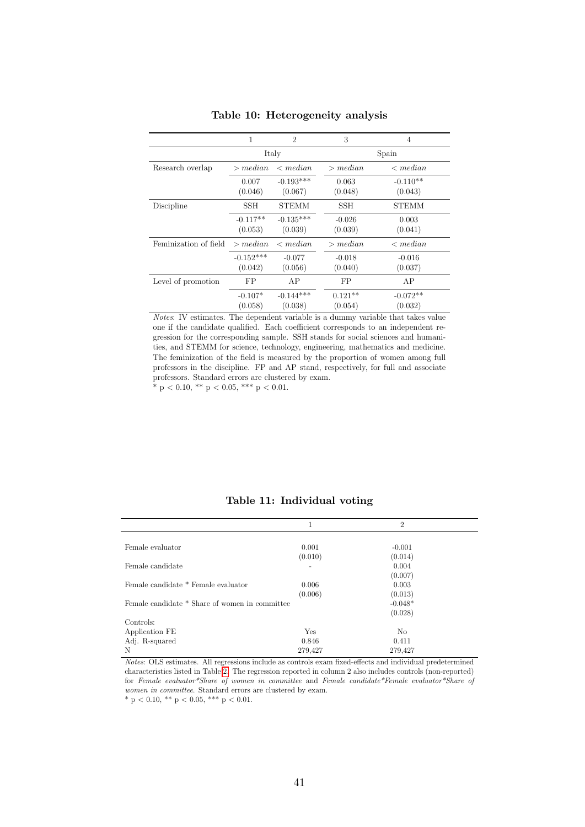<span id="page-42-0"></span>

|                       |                              | $\overline{2}$         | 3                    | 4                     |
|-----------------------|------------------------------|------------------------|----------------------|-----------------------|
|                       |                              | Italy                  |                      | Spain                 |
| Research overlap      | > median<br>$\langle$ median |                        | > median             | $\epsilon$ median     |
|                       | 0.007<br>(0.046)             | $-0.193***$<br>(0.067) | 0.063<br>(0.048)     | $-0.110**$<br>(0.043) |
| Discipline            | SSH                          | <b>STEMM</b>           | <b>SSH</b>           | <b>STEMM</b>          |
|                       | $-0.117**$<br>(0.053)        | $-0.135***$<br>(0.039) | $-0.026$<br>(0.039)  | 0.003<br>(0.041)      |
| Feminization of field | > median                     | $\lt$ median           | > median             | $\epsilon$ median     |
|                       | $-0.152***$<br>(0.042)       | $-0.077$<br>(0.056)    | $-0.018$<br>(0.040)  | $-0.016$<br>(0.037)   |
| Level of promotion    | FP                           | AΡ                     | FP                   | AP                    |
|                       | $-0.107*$<br>(0.058)         | $-0.144***$<br>(0.038) | $0.121**$<br>(0.054) | $-0.072**$<br>(0.032) |

Table 10: Heterogeneity analysis

Notes: IV estimates. The dependent variable is a dummy variable that takes value one if the candidate qualified. Each coefficient corresponds to an independent regression for the corresponding sample. SSH stands for social sciences and humanities, and STEMM for science, technology, engineering, mathematics and medicine. The feminization of the field is measured by the proportion of women among full professors in the discipline. FP and AP stand, respectively, for full and associate professors. Standard errors are clustered by exam.  $*$  p < 0.10, \*\* p < 0.05, \*\*\* p < 0.01.

<span id="page-42-1"></span>

|                                                |         | $\overline{2}$ |  |
|------------------------------------------------|---------|----------------|--|
|                                                |         |                |  |
| Female evaluator                               | 0.001   | $-0.001$       |  |
|                                                | (0.010) | (0.014)        |  |
| Female candidate                               |         | 0.004          |  |
|                                                |         | (0.007)        |  |
| Female candidate * Female evaluator            | 0.006   | 0.003          |  |
|                                                | (0.006) | (0.013)        |  |
| Female candidate * Share of women in committee |         | $-0.048*$      |  |
|                                                |         | (0.028)        |  |
| Controls:                                      |         |                |  |
| Application FE                                 | Yes     | N <sub>o</sub> |  |
| Adj. R-squared                                 | 0.846   | 0.411          |  |
| N                                              | 279,427 | 279,427        |  |
|                                                |         |                |  |

#### Table 11: Individual voting

Notes: OLS estimates. All regressions include as controls exam fixed-effects and individual predetermined characteristics listed in Table [2.](#page-38-0) The regression reported in column 2 also includes controls (non-reported) for Female evaluator\*Share of women in committee and Female candidate\*Female evaluator\*Share of women in committee. Standard errors are clustered by exam. \* p < 0.10, \*\* p < 0.05, \*\*\* p < 0.01.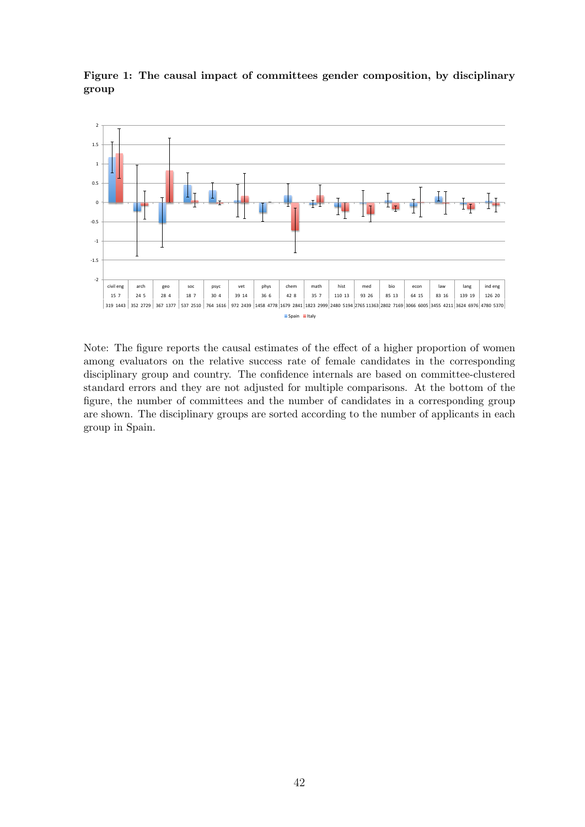

<span id="page-43-0"></span>Figure 1: The causal impact of committees gender composition, by disciplinary group

Note: The figure reports the causal estimates of the effect of a higher proportion of women among evaluators on the relative success rate of female candidates in the corresponding disciplinary group and country. The confidence internals are based on committee-clustered standard errors and they are not adjusted for multiple comparisons. At the bottom of the figure, the number of committees and the number of candidates in a corresponding group are shown. The disciplinary groups are sorted according to the number of applicants in each group in Spain.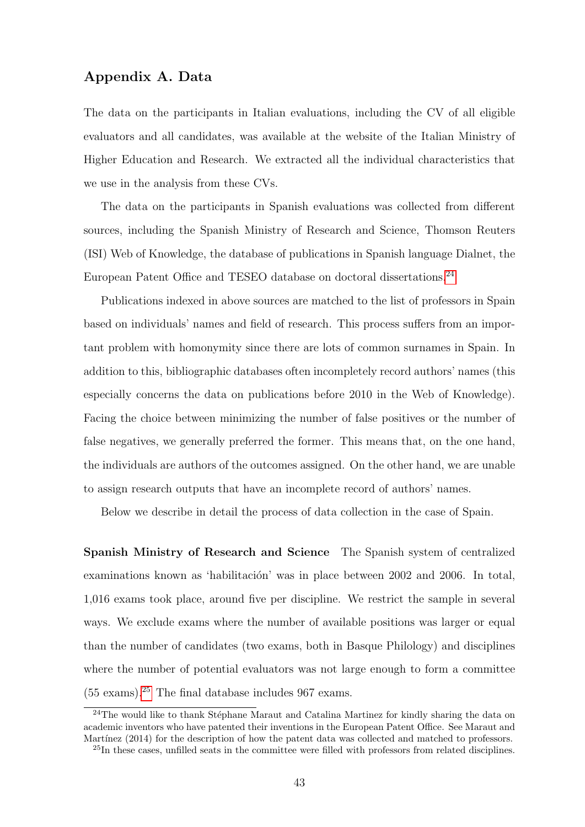## Appendix A. Data

The data on the participants in Italian evaluations, including the CV of all eligible evaluators and all candidates, was available at the website of the Italian Ministry of Higher Education and Research. We extracted all the individual characteristics that we use in the analysis from these CVs.

The data on the participants in Spanish evaluations was collected from different sources, including the Spanish Ministry of Research and Science, Thomson Reuters (ISI) Web of Knowledge, the database of publications in Spanish language Dialnet, the European Patent Office and TESEO database on doctoral dissertations.<sup>[24](#page-44-0)</sup>

Publications indexed in above sources are matched to the list of professors in Spain based on individuals' names and field of research. This process suffers from an important problem with homonymity since there are lots of common surnames in Spain. In addition to this, bibliographic databases often incompletely record authors' names (this especially concerns the data on publications before 2010 in the Web of Knowledge). Facing the choice between minimizing the number of false positives or the number of false negatives, we generally preferred the former. This means that, on the one hand, the individuals are authors of the outcomes assigned. On the other hand, we are unable to assign research outputs that have an incomplete record of authors' names.

Below we describe in detail the process of data collection in the case of Spain.

Spanish Ministry of Research and Science The Spanish system of centralized examinations known as 'habilitación' was in place between 2002 and 2006. In total, 1,016 exams took place, around five per discipline. We restrict the sample in several ways. We exclude exams where the number of available positions was larger or equal than the number of candidates (two exams, both in Basque Philology) and disciplines where the number of potential evaluators was not large enough to form a committee  $(55 \text{ exams})^{25}$  $(55 \text{ exams})^{25}$  $(55 \text{ exams})^{25}$ . The final database includes 967 exams.

<span id="page-44-0"></span> $24$ The would like to thank Stéphane Maraut and Catalina Martinez for kindly sharing the data on academic inventors who have patented their inventions in the European Patent Office. See Maraut and Martínez (2014) for the description of how the patent data was collected and matched to professors.

<span id="page-44-1"></span><sup>25</sup>In these cases, unfilled seats in the committee were filled with professors from related disciplines.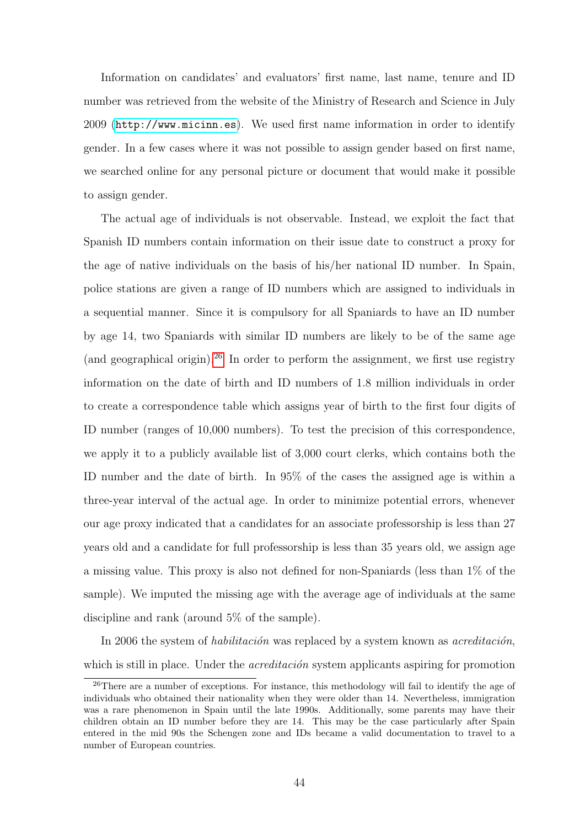Information on candidates' and evaluators' first name, last name, tenure and ID number was retrieved from the website of the Ministry of Research and Science in July 2009 (<http://www.micinn.es>). We used first name information in order to identify gender. In a few cases where it was not possible to assign gender based on first name, we searched online for any personal picture or document that would make it possible to assign gender.

The actual age of individuals is not observable. Instead, we exploit the fact that Spanish ID numbers contain information on their issue date to construct a proxy for the age of native individuals on the basis of his/her national ID number. In Spain, police stations are given a range of ID numbers which are assigned to individuals in a sequential manner. Since it is compulsory for all Spaniards to have an ID number by age 14, two Spaniards with similar ID numbers are likely to be of the same age (and geographical origin).<sup>[26](#page-45-0)</sup> In order to perform the assignment, we first use registry information on the date of birth and ID numbers of 1.8 million individuals in order to create a correspondence table which assigns year of birth to the first four digits of ID number (ranges of 10,000 numbers). To test the precision of this correspondence, we apply it to a publicly available list of 3,000 court clerks, which contains both the ID number and the date of birth. In 95% of the cases the assigned age is within a three-year interval of the actual age. In order to minimize potential errors, whenever our age proxy indicated that a candidates for an associate professorship is less than 27 years old and a candidate for full professorship is less than 35 years old, we assign age a missing value. This proxy is also not defined for non-Spaniards (less than 1% of the sample). We imputed the missing age with the average age of individuals at the same discipline and rank (around 5% of the sample).

In 2006 the system of *habilitación* was replaced by a system known as *acreditación*, which is still in place. Under the *acreditación* system applicants aspiring for promotion

<span id="page-45-0"></span><sup>&</sup>lt;sup>26</sup>There are a number of exceptions. For instance, this methodology will fail to identify the age of individuals who obtained their nationality when they were older than 14. Nevertheless, immigration was a rare phenomenon in Spain until the late 1990s. Additionally, some parents may have their children obtain an ID number before they are 14. This may be the case particularly after Spain entered in the mid 90s the Schengen zone and IDs became a valid documentation to travel to a number of European countries.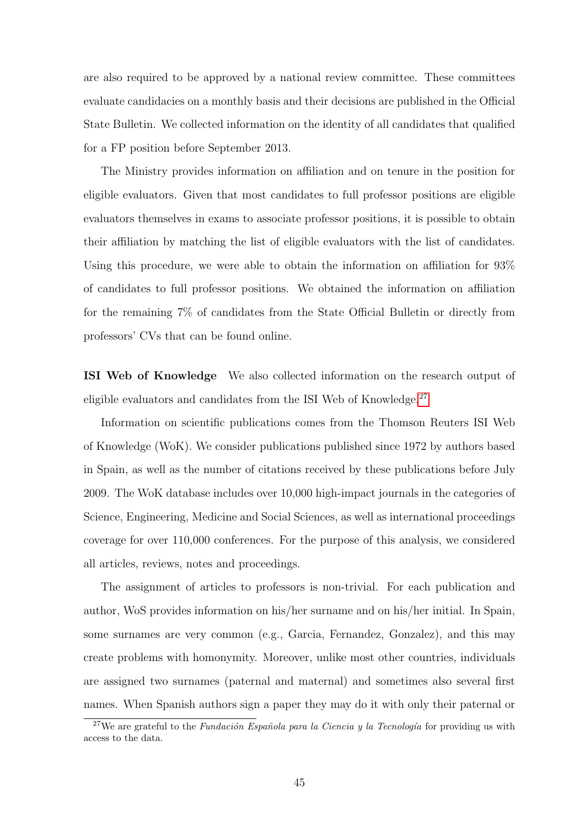are also required to be approved by a national review committee. These committees evaluate candidacies on a monthly basis and their decisions are published in the Official State Bulletin. We collected information on the identity of all candidates that qualified for a FP position before September 2013.

The Ministry provides information on affiliation and on tenure in the position for eligible evaluators. Given that most candidates to full professor positions are eligible evaluators themselves in exams to associate professor positions, it is possible to obtain their affiliation by matching the list of eligible evaluators with the list of candidates. Using this procedure, we were able to obtain the information on affiliation for 93% of candidates to full professor positions. We obtained the information on affiliation for the remaining 7% of candidates from the State Official Bulletin or directly from professors' CVs that can be found online.

ISI Web of Knowledge We also collected information on the research output of eligible evaluators and candidates from the ISI Web of Knowledge.<sup>[27](#page-46-0)</sup>

Information on scientific publications comes from the Thomson Reuters ISI Web of Knowledge (WoK). We consider publications published since 1972 by authors based in Spain, as well as the number of citations received by these publications before July 2009. The WoK database includes over 10,000 high-impact journals in the categories of Science, Engineering, Medicine and Social Sciences, as well as international proceedings coverage for over 110,000 conferences. For the purpose of this analysis, we considered all articles, reviews, notes and proceedings.

The assignment of articles to professors is non-trivial. For each publication and author, WoS provides information on his/her surname and on his/her initial. In Spain, some surnames are very common (e.g., Garcia, Fernandez, Gonzalez), and this may create problems with homonymity. Moreover, unlike most other countries, individuals are assigned two surnames (paternal and maternal) and sometimes also several first names. When Spanish authors sign a paper they may do it with only their paternal or

<span id="page-46-0"></span><sup>&</sup>lt;sup>27</sup>We are grateful to the *Fundación Española para la Ciencia y la Tecnología* for providing us with access to the data.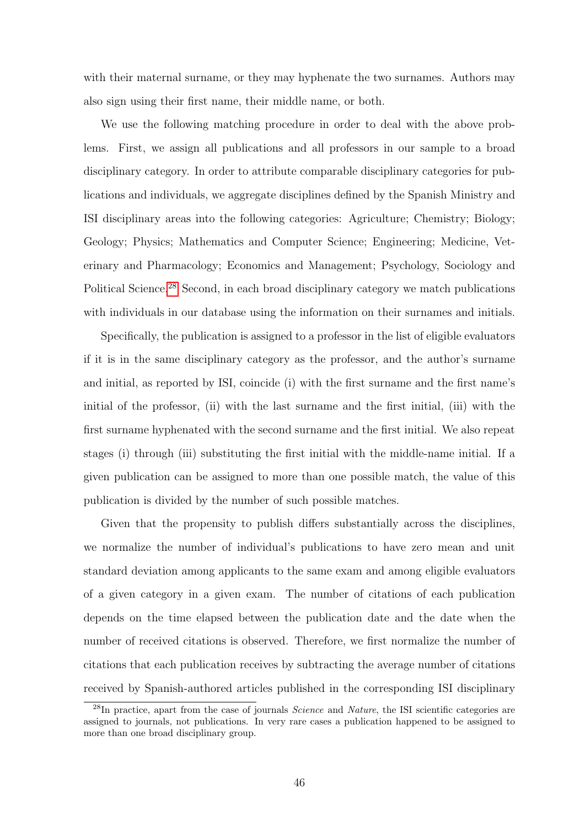with their maternal surname, or they may hyphenate the two surnames. Authors may also sign using their first name, their middle name, or both.

We use the following matching procedure in order to deal with the above problems. First, we assign all publications and all professors in our sample to a broad disciplinary category. In order to attribute comparable disciplinary categories for publications and individuals, we aggregate disciplines defined by the Spanish Ministry and ISI disciplinary areas into the following categories: Agriculture; Chemistry; Biology; Geology; Physics; Mathematics and Computer Science; Engineering; Medicine, Veterinary and Pharmacology; Economics and Management; Psychology, Sociology and Political Science.<sup>[28](#page-47-0)</sup> Second, in each broad disciplinary category we match publications with individuals in our database using the information on their surnames and initials.

Specifically, the publication is assigned to a professor in the list of eligible evaluators if it is in the same disciplinary category as the professor, and the author's surname and initial, as reported by ISI, coincide (i) with the first surname and the first name's initial of the professor, (ii) with the last surname and the first initial, (iii) with the first surname hyphenated with the second surname and the first initial. We also repeat stages (i) through (iii) substituting the first initial with the middle-name initial. If a given publication can be assigned to more than one possible match, the value of this publication is divided by the number of such possible matches.

Given that the propensity to publish differs substantially across the disciplines, we normalize the number of individual's publications to have zero mean and unit standard deviation among applicants to the same exam and among eligible evaluators of a given category in a given exam. The number of citations of each publication depends on the time elapsed between the publication date and the date when the number of received citations is observed. Therefore, we first normalize the number of citations that each publication receives by subtracting the average number of citations received by Spanish-authored articles published in the corresponding ISI disciplinary

<span id="page-47-0"></span> $^{28}$ In practice, apart from the case of journals *Science* and *Nature*, the ISI scientific categories are assigned to journals, not publications. In very rare cases a publication happened to be assigned to more than one broad disciplinary group.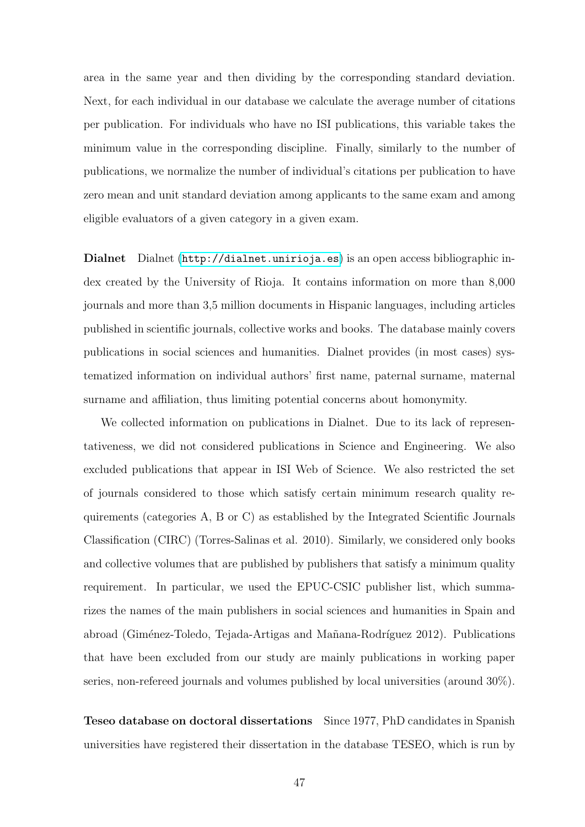area in the same year and then dividing by the corresponding standard deviation. Next, for each individual in our database we calculate the average number of citations per publication. For individuals who have no ISI publications, this variable takes the minimum value in the corresponding discipline. Finally, similarly to the number of publications, we normalize the number of individual's citations per publication to have zero mean and unit standard deviation among applicants to the same exam and among eligible evaluators of a given category in a given exam.

Dialnet Dialnet (<http://dialnet.unirioja.es>) is an open access bibliographic index created by the University of Rioja. It contains information on more than 8,000 journals and more than 3,5 million documents in Hispanic languages, including articles published in scientific journals, collective works and books. The database mainly covers publications in social sciences and humanities. Dialnet provides (in most cases) systematized information on individual authors' first name, paternal surname, maternal surname and affiliation, thus limiting potential concerns about homonymity.

We collected information on publications in Dialnet. Due to its lack of representativeness, we did not considered publications in Science and Engineering. We also excluded publications that appear in ISI Web of Science. We also restricted the set of journals considered to those which satisfy certain minimum research quality requirements (categories A, B or C) as established by the Integrated Scientific Journals Classification (CIRC) (Torres-Salinas et al. 2010). Similarly, we considered only books and collective volumes that are published by publishers that satisfy a minimum quality requirement. In particular, we used the EPUC-CSIC publisher list, which summarizes the names of the main publishers in social sciences and humanities in Spain and abroad (Giménez-Toledo, Tejada-Artigas and Mañana-Rodríguez 2012). Publications that have been excluded from our study are mainly publications in working paper series, non-refereed journals and volumes published by local universities (around 30%).

Teseo database on doctoral dissertations Since 1977, PhD candidates in Spanish universities have registered their dissertation in the database TESEO, which is run by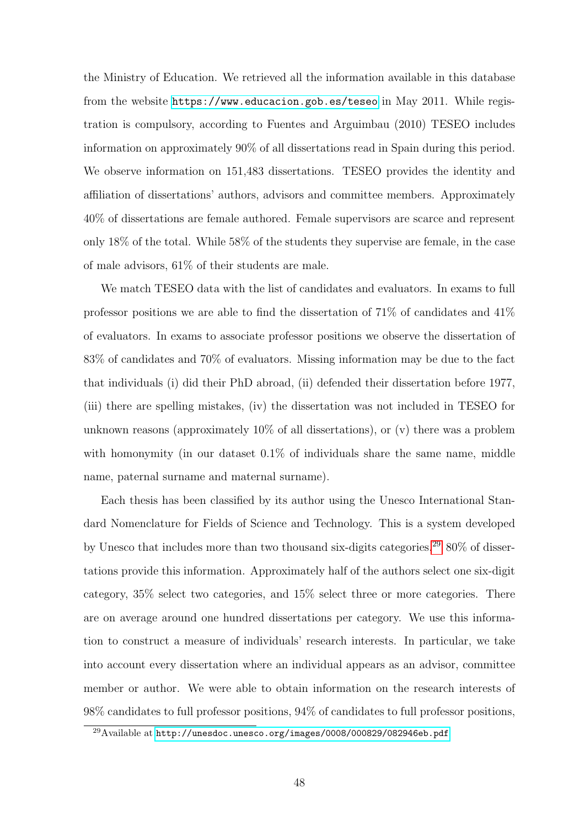the Ministry of Education. We retrieved all the information available in this database from the website <https://www.educacion.gob.es/teseo> in May 2011. While registration is compulsory, according to Fuentes and Arguimbau (2010) TESEO includes information on approximately 90% of all dissertations read in Spain during this period. We observe information on 151,483 dissertations. TESEO provides the identity and affiliation of dissertations' authors, advisors and committee members. Approximately 40% of dissertations are female authored. Female supervisors are scarce and represent only 18% of the total. While 58% of the students they supervise are female, in the case of male advisors, 61% of their students are male.

We match TESEO data with the list of candidates and evaluators. In exams to full professor positions we are able to find the dissertation of 71% of candidates and 41% of evaluators. In exams to associate professor positions we observe the dissertation of 83% of candidates and 70% of evaluators. Missing information may be due to the fact that individuals (i) did their PhD abroad, (ii) defended their dissertation before 1977, (iii) there are spelling mistakes, (iv) the dissertation was not included in TESEO for unknown reasons (approximately  $10\%$  of all dissertations), or (v) there was a problem with homonymity (in our dataset  $0.1\%$  of individuals share the same name, middle name, paternal surname and maternal surname).

Each thesis has been classified by its author using the Unesco International Standard Nomenclature for Fields of Science and Technology. This is a system developed by Unesco that includes more than two thousand six-digits categories.<sup>[29](#page-49-0)</sup> 80% of dissertations provide this information. Approximately half of the authors select one six-digit category, 35% select two categories, and 15% select three or more categories. There are on average around one hundred dissertations per category. We use this information to construct a measure of individuals' research interests. In particular, we take into account every dissertation where an individual appears as an advisor, committee member or author. We were able to obtain information on the research interests of 98% candidates to full professor positions, 94% of candidates to full professor positions,

<span id="page-49-0"></span><sup>29</sup>Available at <http://unesdoc.unesco.org/images/0008/000829/082946eb.pdf>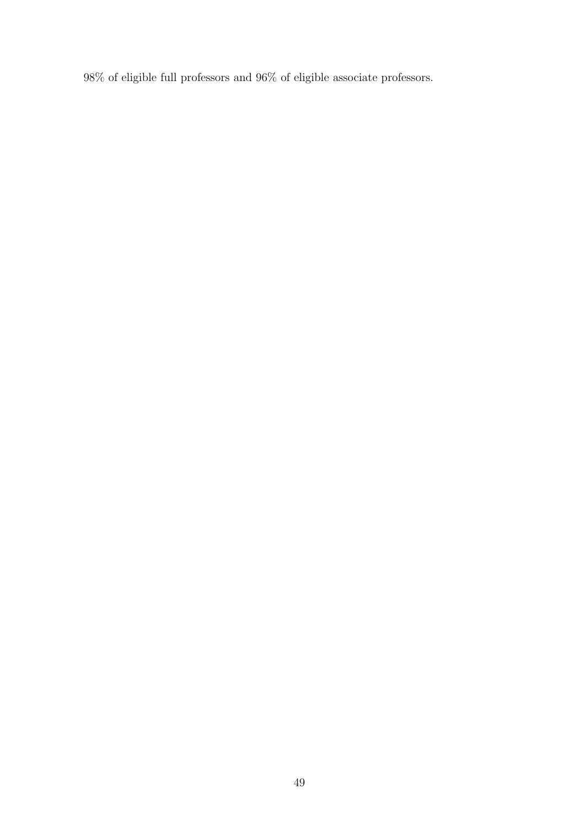98% of eligible full professors and 96% of eligible associate professors.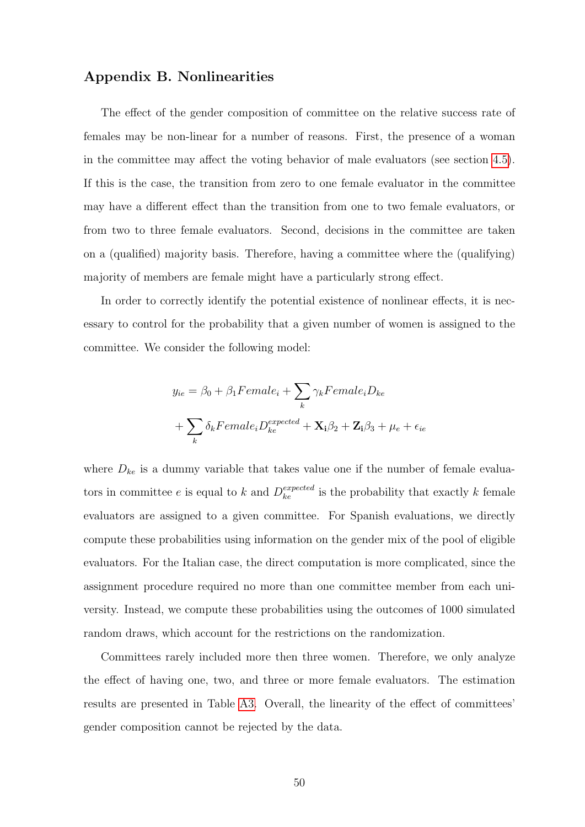### Appendix B. Nonlinearities

The effect of the gender composition of committee on the relative success rate of females may be non-linear for a number of reasons. First, the presence of a woman in the committee may affect the voting behavior of male evaluators (see section [4.5\)](#page-29-1). If this is the case, the transition from zero to one female evaluator in the committee may have a different effect than the transition from one to two female evaluators, or from two to three female evaluators. Second, decisions in the committee are taken on a (qualified) majority basis. Therefore, having a committee where the (qualifying) majority of members are female might have a particularly strong effect.

In order to correctly identify the potential existence of nonlinear effects, it is necessary to control for the probability that a given number of women is assigned to the committee. We consider the following model:

$$
y_{ie} = \beta_0 + \beta_1 Female_i + \sum_k \gamma_k Female_i D_{ke}
$$

$$
+ \sum_k \delta_k Female_i D_{ke}^{expected} + \mathbf{X}_i \beta_2 + \mathbf{Z}_i \beta_3 + \mu_e + \epsilon_{ie}
$$

where  $D_{ke}$  is a dummy variable that takes value one if the number of female evaluators in committee e is equal to k and  $D_{ke}^{expected}$  is the probability that exactly k female evaluators are assigned to a given committee. For Spanish evaluations, we directly compute these probabilities using information on the gender mix of the pool of eligible evaluators. For the Italian case, the direct computation is more complicated, since the assignment procedure required no more than one committee member from each university. Instead, we compute these probabilities using the outcomes of 1000 simulated random draws, which account for the restrictions on the randomization.

Committees rarely included more then three women. Therefore, we only analyze the effect of having one, two, and three or more female evaluators. The estimation results are presented in Table [A3.](#page-55-0) Overall, the linearity of the effect of committees' gender composition cannot be rejected by the data.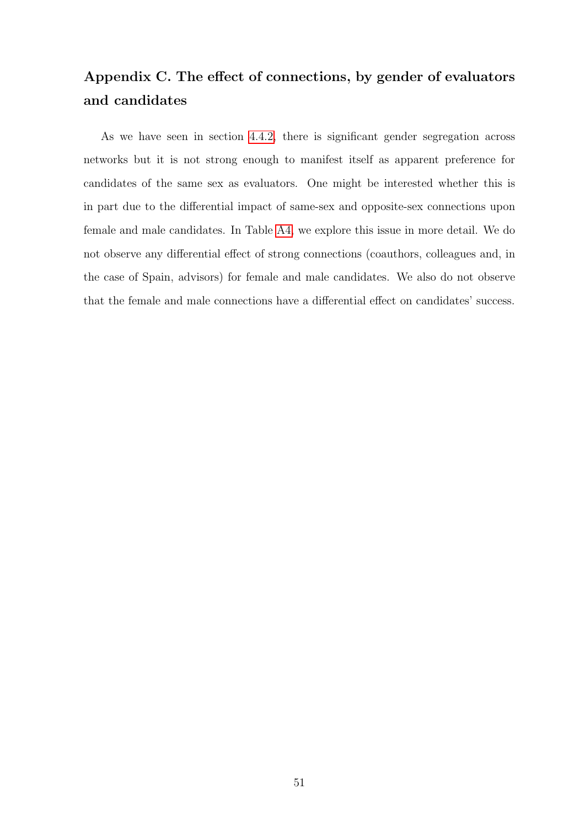# Appendix C. The effect of connections, by gender of evaluators and candidates

As we have seen in section [4.4.2,](#page-26-1) there is significant gender segregation across networks but it is not strong enough to manifest itself as apparent preference for candidates of the same sex as evaluators. One might be interested whether this is in part due to the differential impact of same-sex and opposite-sex connections upon female and male candidates. In Table [A4,](#page-55-1) we explore this issue in more detail. We do not observe any differential effect of strong connections (coauthors, colleagues and, in the case of Spain, advisors) for female and male candidates. We also do not observe that the female and male connections have a differential effect on candidates' success.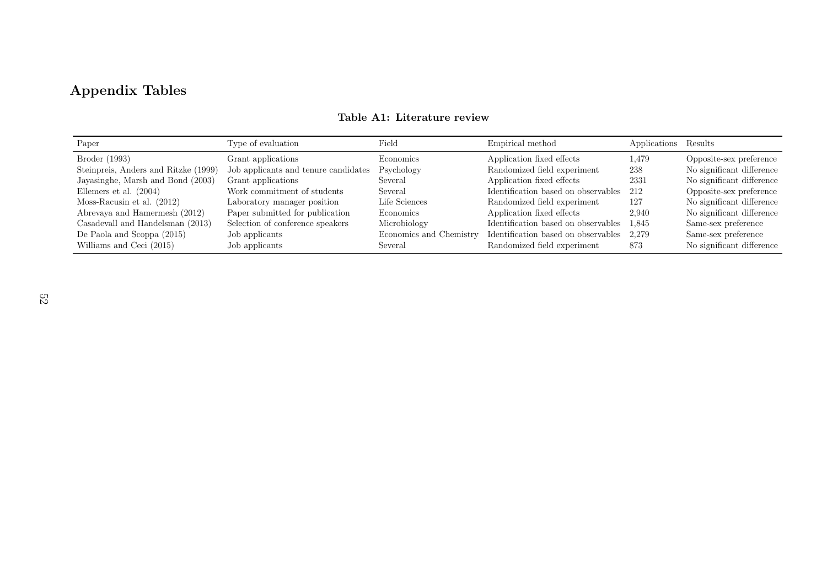# Appendix Tables

<span id="page-53-0"></span>

| Paper                                | Type of evaluation                   | Field                   | Empirical method                    | Applications Results |                           |
|--------------------------------------|--------------------------------------|-------------------------|-------------------------------------|----------------------|---------------------------|
| Broder (1993)                        | Grant applications                   | Economics               | Application fixed effects           | 1,479                | Opposite-sex preference   |
| Steinpreis, Anders and Ritzke (1999) | Job applicants and tenure candidates | Psychology              | Randomized field experiment         | 238                  | No significant difference |
| Jayasinghe, Marsh and Bond (2003)    | Grant applications                   | Several                 | Application fixed effects           | 2331                 | No significant difference |
| Ellemers et al. $(2004)$             | Work commitment of students          | Several                 | Identification based on observables | 212                  | Opposite-sex preference   |
| Moss-Racusin et al. $(2012)$         | Laboratory manager position          | Life Sciences           | Randomized field experiment         | 127                  | No significant difference |
| Abrevaya and Hamermesh (2012)        | Paper submitted for publication      | Economics               | Application fixed effects           | 2.940                | No significant difference |
| Casadevall and Handelsman (2013)     | Selection of conference speakers     | Microbiology            | Identification based on observables | 1,845                | Same-sex preference       |
| De Paola and Scoppa (2015)           | Job applicants                       | Economics and Chemistry | Identification based on observables | 2.279                | Same-sex preference       |
| Williams and Ceci (2015)             | Job applicants                       | Several                 | Randomized field experiment         | 873                  | No significant difference |

## Table A1: Literature review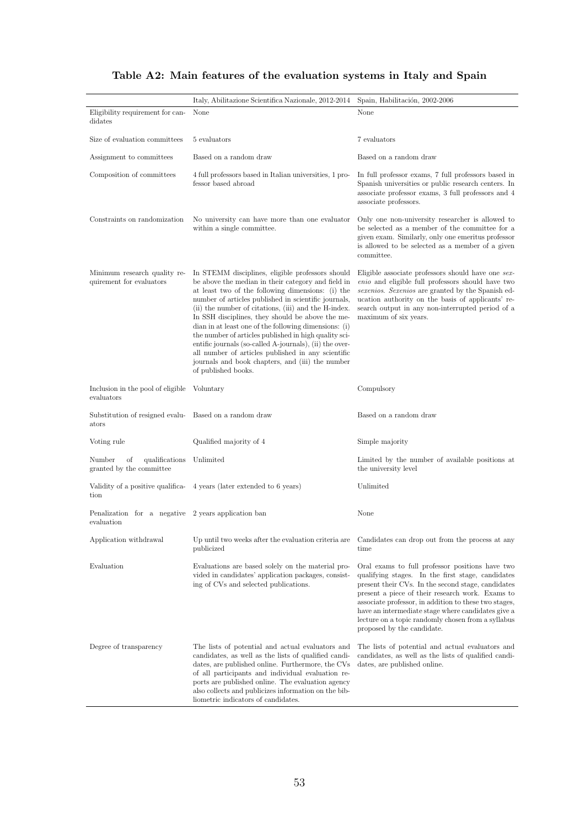# <span id="page-54-0"></span>Table A2: Main features of the evaluation systems in Italy and Spain

|                                                                   | Italy, Abilitazione Scientifica Nazionale, 2012-2014                                                                                                                                                                                                                                                                                                                                                                                                                                                                                                                                                                                          | Spain, Habilitación, 2002-2006                                                                                                                                                                                                                                                                                                                                                                                    |
|-------------------------------------------------------------------|-----------------------------------------------------------------------------------------------------------------------------------------------------------------------------------------------------------------------------------------------------------------------------------------------------------------------------------------------------------------------------------------------------------------------------------------------------------------------------------------------------------------------------------------------------------------------------------------------------------------------------------------------|-------------------------------------------------------------------------------------------------------------------------------------------------------------------------------------------------------------------------------------------------------------------------------------------------------------------------------------------------------------------------------------------------------------------|
| Eligibility requirement for can-<br>didates                       | None                                                                                                                                                                                                                                                                                                                                                                                                                                                                                                                                                                                                                                          | None                                                                                                                                                                                                                                                                                                                                                                                                              |
| Size of evaluation committees                                     | 5 evaluators                                                                                                                                                                                                                                                                                                                                                                                                                                                                                                                                                                                                                                  | 7 evaluators                                                                                                                                                                                                                                                                                                                                                                                                      |
| Assignment to committees                                          | Based on a random draw                                                                                                                                                                                                                                                                                                                                                                                                                                                                                                                                                                                                                        | Based on a random draw                                                                                                                                                                                                                                                                                                                                                                                            |
| Composition of committees                                         | 4 full professors based in Italian universities, 1 pro-<br>fessor based abroad                                                                                                                                                                                                                                                                                                                                                                                                                                                                                                                                                                | In full professor exams, 7 full professors based in<br>Spanish universities or public research centers. In<br>associate professor exams, 3 full professors and 4<br>associate professors.                                                                                                                                                                                                                         |
| Constraints on randomization                                      | No university can have more than one evaluator<br>within a single committee.                                                                                                                                                                                                                                                                                                                                                                                                                                                                                                                                                                  | Only one non-university researcher is allowed to<br>be selected as a member of the committee for a<br>given exam. Similarly, only one emeritus professor<br>is allowed to be selected as a member of a given<br>committee.                                                                                                                                                                                        |
| Minimum research quality re-<br>quirement for evaluators          | In STEMM disciplines, eligible professors should<br>be above the median in their category and field in<br>at least two of the following dimensions: (i) the<br>number of articles published in scientific journals,<br>(ii) the number of citations, (iii) and the H-index.<br>In SSH disciplines, they should be above the me-<br>dian in at least one of the following dimensions: (i)<br>the number of articles published in high quality sci-<br>entific journals (so-called A-journals), (ii) the over-<br>all number of articles published in any scientific<br>journals and book chapters, and (iii) the number<br>of published books. | Eligible associate professors should have one sex-<br><i>enio</i> and eligible full professors should have two<br>sexenios. Sexenios are granted by the Spanish ed-<br>ucation authority on the basis of applicants' re-<br>search output in any non-interrupted period of a<br>maximum of six years.                                                                                                             |
| Inclusion in the pool of eligible Voluntary<br>evaluators         |                                                                                                                                                                                                                                                                                                                                                                                                                                                                                                                                                                                                                                               | Compulsory                                                                                                                                                                                                                                                                                                                                                                                                        |
| Substitution of resigned evalu- Based on a random draw<br>ators   |                                                                                                                                                                                                                                                                                                                                                                                                                                                                                                                                                                                                                                               | Based on a random draw                                                                                                                                                                                                                                                                                                                                                                                            |
| Voting rule                                                       | Qualified majority of 4                                                                                                                                                                                                                                                                                                                                                                                                                                                                                                                                                                                                                       | Simple majority                                                                                                                                                                                                                                                                                                                                                                                                   |
| Number<br>qualifications<br>οf<br>granted by the committee        | Unlimited                                                                                                                                                                                                                                                                                                                                                                                                                                                                                                                                                                                                                                     | Limited by the number of available positions at<br>the university level                                                                                                                                                                                                                                                                                                                                           |
| Validity of a positive qualifica-<br>tion                         | 4 years (later extended to 6 years)                                                                                                                                                                                                                                                                                                                                                                                                                                                                                                                                                                                                           | Unlimited                                                                                                                                                                                                                                                                                                                                                                                                         |
| Penalization for a negative 2 years application ban<br>evaluation |                                                                                                                                                                                                                                                                                                                                                                                                                                                                                                                                                                                                                                               | None                                                                                                                                                                                                                                                                                                                                                                                                              |
| Application withdrawal                                            | Up until two weeks after the evaluation criteria are<br>publicized                                                                                                                                                                                                                                                                                                                                                                                                                                                                                                                                                                            | Candidates can drop out from the process at any<br>time                                                                                                                                                                                                                                                                                                                                                           |
| Evaluation                                                        | Evaluations are based solely on the material pro-<br>vided in candidates' application packages, consist-<br>ing of CVs and selected publications.                                                                                                                                                                                                                                                                                                                                                                                                                                                                                             | Oral exams to full professor positions have two<br>qualifying stages. In the first stage, candidates<br>present their CVs. In the second stage, candidates<br>present a piece of their research work. Exams to<br>associate professor, in addition to these two stages,<br>have an intermediate stage where candidates give a<br>lecture on a topic randomly chosen from a syllabus<br>proposed by the candidate. |
| Degree of transparency                                            | The lists of potential and actual evaluators and<br>candidates, as well as the lists of qualified candi-<br>dates, are published online. Furthermore, the CVs<br>of all participants and individual evaluation re-<br>ports are published online. The evaluation agency<br>also collects and publicizes information on the bib-<br>liometric indicators of candidates.                                                                                                                                                                                                                                                                        | The lists of potential and actual evaluators and<br>candidates, as well as the lists of qualified candi-<br>dates, are published online.                                                                                                                                                                                                                                                                          |